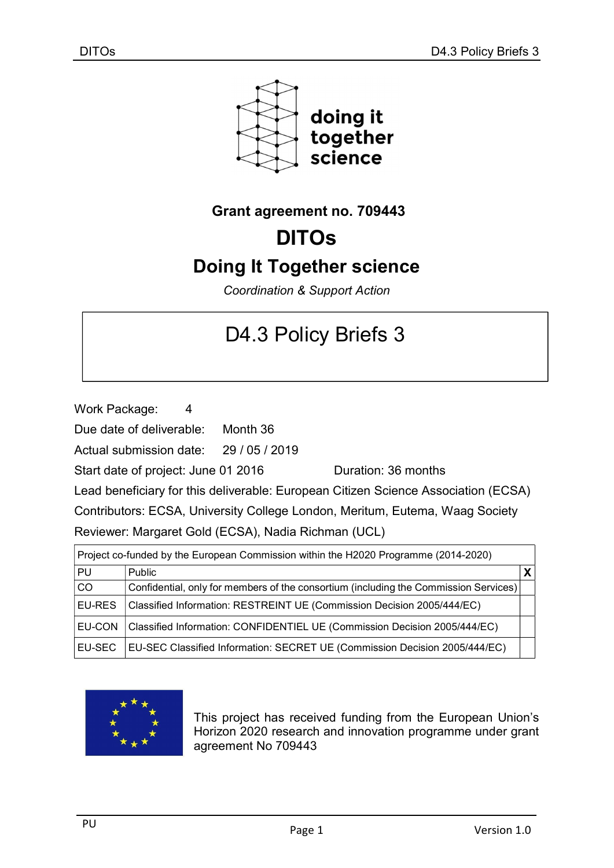

## Grant agreement no. 709443

# DITOs

## Doing It Together science

Coordination & Support Action

# D4.3 Policy Briefs 3

Work Package: 4

Due date of deliverable: Month 36

Actual submission date: 29 / 05 / 2019

Start date of project: June 01 2016 Quration: 36 months

Lead beneficiary for this deliverable: European Citizen Science Association (ECSA)

Contributors: ECSA, University College London, Meritum, Eutema, Waag Society Reviewer: Margaret Gold (ECSA), Nadia Richman (UCL)

| Project co-funded by the European Commission within the H2020 Programme (2014-2020) |                                                                                      |  |  |
|-------------------------------------------------------------------------------------|--------------------------------------------------------------------------------------|--|--|
| PU                                                                                  | Public                                                                               |  |  |
| co                                                                                  | Confidential, only for members of the consortium (including the Commission Services) |  |  |
| <b>EU-RES</b>                                                                       | Classified Information: RESTREINT UE (Commission Decision 2005/444/EC)               |  |  |
| <b>EU-CON</b>                                                                       | Classified Information: CONFIDENTIEL UE (Commission Decision 2005/444/EC)            |  |  |
| EU-SEC                                                                              | EU-SEC Classified Information: SECRET UE (Commission Decision 2005/444/EC)           |  |  |



This project has received funding from the European Union's Horizon 2020 research and innovation programme under grant agreement No 709443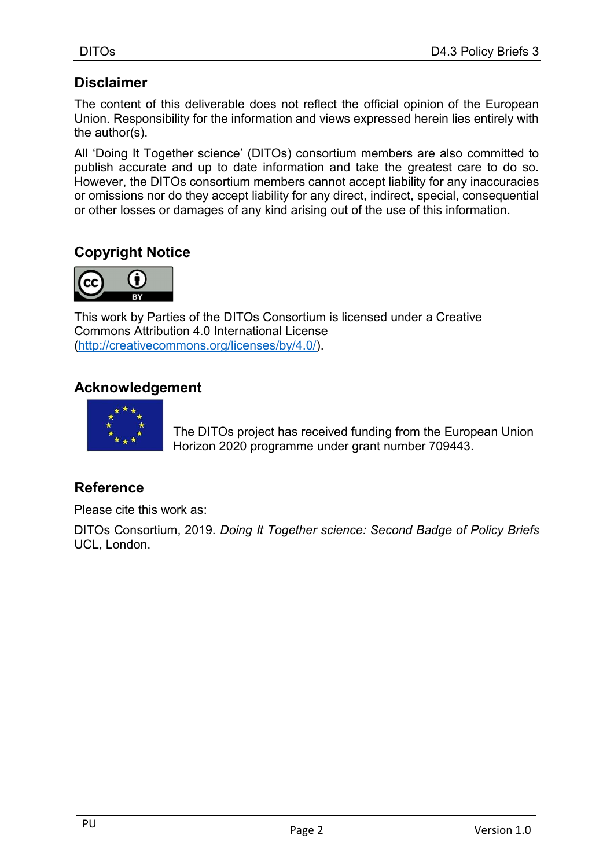## **Disclaimer**

The content of this deliverable does not reflect the official opinion of the European Union. Responsibility for the information and views expressed herein lies entirely with the author(s).

All 'Doing It Together science' (DITOs) consortium members are also committed to publish accurate and up to date information and take the greatest care to do so. However, the DITOs consortium members cannot accept liability for any inaccuracies or omissions nor do they accept liability for any direct, indirect, special, consequential or other losses or damages of any kind arising out of the use of this information.

## Copyright Notice



This work by Parties of the DITOs Consortium is licensed under a Creative Commons Attribution 4.0 International License (http://creativecommons.org/licenses/by/4.0/).

## Acknowledgement



The DITOs project has received funding from the European Union Horizon 2020 programme under grant number 709443.

## Reference

Please cite this work as:

DITOs Consortium, 2019. Doing It Together science: Second Badge of Policy Briefs UCL, London.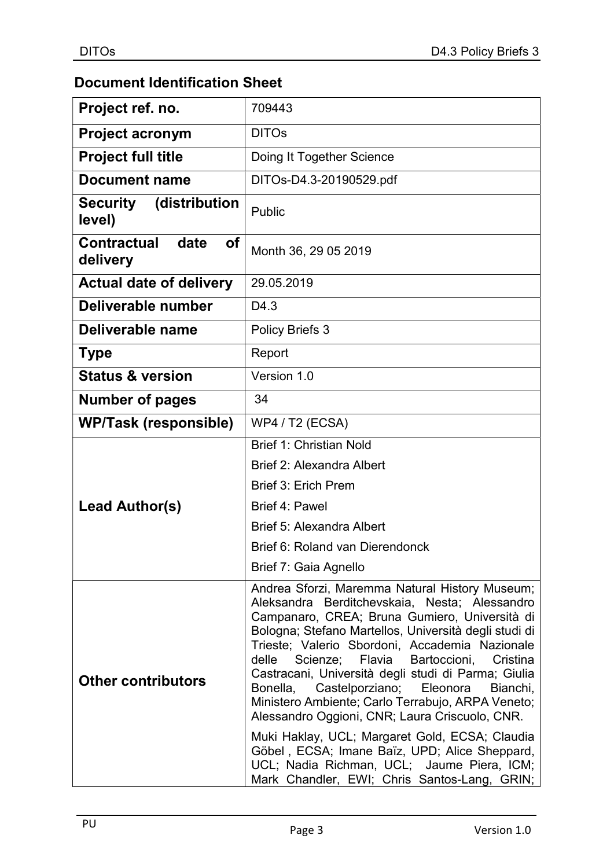## Document Identification Sheet

| Project ref. no.                      | 709443                                                                                                                                                                                                                                                                                                                                                                                                                                                                                                                                   |
|---------------------------------------|------------------------------------------------------------------------------------------------------------------------------------------------------------------------------------------------------------------------------------------------------------------------------------------------------------------------------------------------------------------------------------------------------------------------------------------------------------------------------------------------------------------------------------------|
| <b>Project acronym</b>                | <b>DITOs</b>                                                                                                                                                                                                                                                                                                                                                                                                                                                                                                                             |
| <b>Project full title</b>             | Doing It Together Science                                                                                                                                                                                                                                                                                                                                                                                                                                                                                                                |
| Document name                         | DITOs-D4.3-20190529.pdf                                                                                                                                                                                                                                                                                                                                                                                                                                                                                                                  |
| (distribution<br>Security<br>level)   | Public                                                                                                                                                                                                                                                                                                                                                                                                                                                                                                                                   |
| Contractual<br>date<br>Οf<br>delivery | Month 36, 29 05 2019                                                                                                                                                                                                                                                                                                                                                                                                                                                                                                                     |
| <b>Actual date of delivery</b>        | 29.05.2019                                                                                                                                                                                                                                                                                                                                                                                                                                                                                                                               |
| Deliverable number                    | D <sub>4.3</sub>                                                                                                                                                                                                                                                                                                                                                                                                                                                                                                                         |
| Deliverable name                      | <b>Policy Briefs 3</b>                                                                                                                                                                                                                                                                                                                                                                                                                                                                                                                   |
| <b>Type</b>                           | Report                                                                                                                                                                                                                                                                                                                                                                                                                                                                                                                                   |
| <b>Status &amp; version</b>           | Version 1.0                                                                                                                                                                                                                                                                                                                                                                                                                                                                                                                              |
| <b>Number of pages</b>                | 34                                                                                                                                                                                                                                                                                                                                                                                                                                                                                                                                       |
| <b>WP/Task (responsible)</b>          | <b>WP4 / T2 (ECSA)</b>                                                                                                                                                                                                                                                                                                                                                                                                                                                                                                                   |
|                                       | <b>Brief 1: Christian Nold</b>                                                                                                                                                                                                                                                                                                                                                                                                                                                                                                           |
|                                       | Brief 2: Alexandra Albert                                                                                                                                                                                                                                                                                                                                                                                                                                                                                                                |
|                                       | Brief 3: Erich Prem                                                                                                                                                                                                                                                                                                                                                                                                                                                                                                                      |
| Lead Author(s)                        | Brief 4: Pawel                                                                                                                                                                                                                                                                                                                                                                                                                                                                                                                           |
|                                       | Brief 5: Alexandra Albert                                                                                                                                                                                                                                                                                                                                                                                                                                                                                                                |
|                                       | Brief 6: Roland van Dierendonck                                                                                                                                                                                                                                                                                                                                                                                                                                                                                                          |
|                                       | Brief 7: Gaia Agnello                                                                                                                                                                                                                                                                                                                                                                                                                                                                                                                    |
| <b>Other contributors</b>             | Andrea Sforzi, Maremma Natural History Museum;<br>Aleksandra Berditchevskaia, Nesta; Alessandro<br>Campanaro, CREA; Bruna Gumiero, Università di<br>Bologna; Stefano Martellos, Università degli studi di<br>Trieste; Valerio Sbordoni, Accademia Nazionale<br>Flavia<br>Bartoccioni,<br>Cristina<br>delle<br>Scienze;<br>Castracani, Università degli studi di Parma; Giulia<br>Castelporziano; Eleonora<br>Bonella,<br>Bianchi,<br>Ministero Ambiente; Carlo Terrabujo, ARPA Veneto;<br>Alessandro Oggioni, CNR; Laura Criscuolo, CNR. |
|                                       | Muki Haklay, UCL; Margaret Gold, ECSA; Claudia<br>Göbel, ECSA; Imane Baïz, UPD; Alice Sheppard,<br>UCL; Nadia Richman, UCL; Jaume Piera, ICM;<br>Mark Chandler, EWI; Chris Santos-Lang, GRIN;                                                                                                                                                                                                                                                                                                                                            |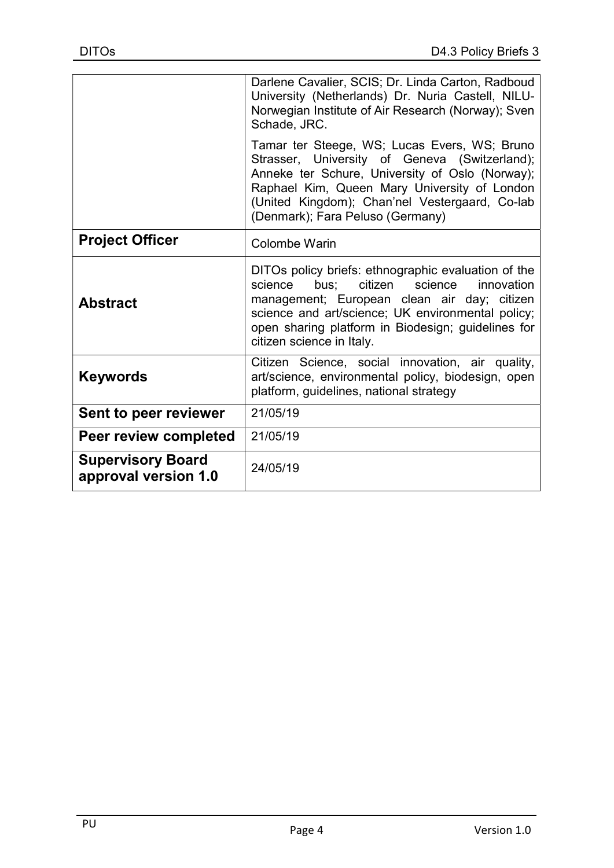|                                                  | Darlene Cavalier, SCIS; Dr. Linda Carton, Radboud<br>University (Netherlands) Dr. Nuria Castell, NILU-<br>Norwegian Institute of Air Research (Norway); Sven<br>Schade, JRC.                                                                                                                      |
|--------------------------------------------------|---------------------------------------------------------------------------------------------------------------------------------------------------------------------------------------------------------------------------------------------------------------------------------------------------|
|                                                  | Tamar ter Steege, WS; Lucas Evers, WS; Bruno<br>Strasser, University of Geneva (Switzerland);<br>Anneke ter Schure, University of Oslo (Norway);<br>Raphael Kim, Queen Mary University of London<br>(United Kingdom); Chan'nel Vestergaard, Co-lab<br>(Denmark); Fara Peluso (Germany)            |
| <b>Project Officer</b>                           | Colombe Warin                                                                                                                                                                                                                                                                                     |
| <b>Abstract</b>                                  | DITOs policy briefs: ethnographic evaluation of the<br>citizen<br>bus:<br>science<br>innovation<br>science<br>management; European clean air day; citizen<br>science and art/science; UK environmental policy;<br>open sharing platform in Biodesign; guidelines for<br>citizen science in Italy. |
| <b>Keywords</b>                                  | Citizen Science, social innovation, air quality,<br>art/science, environmental policy, biodesign, open<br>platform, guidelines, national strategy                                                                                                                                                 |
| Sent to peer reviewer                            | 21/05/19                                                                                                                                                                                                                                                                                          |
| Peer review completed                            | 21/05/19                                                                                                                                                                                                                                                                                          |
| <b>Supervisory Board</b><br>approval version 1.0 | 24/05/19                                                                                                                                                                                                                                                                                          |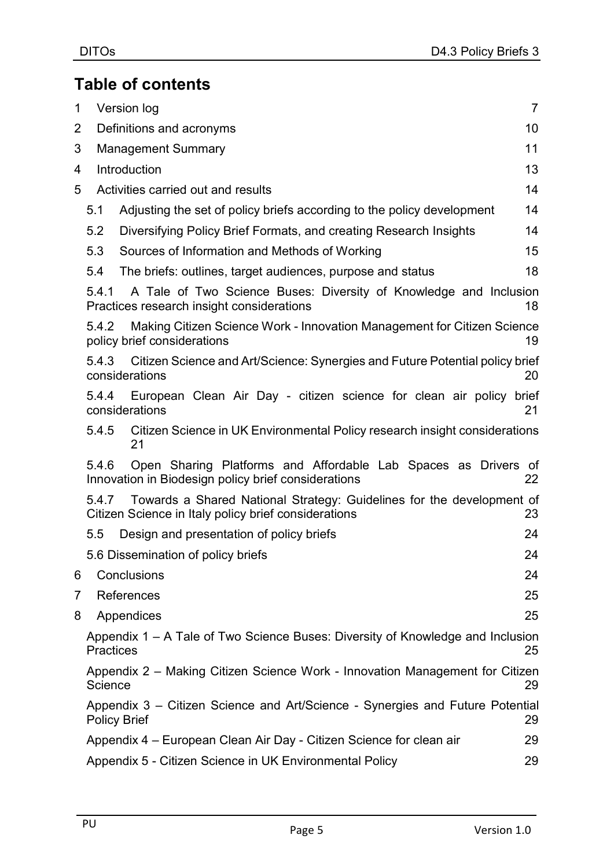## Table of contents

| 1              |                     | Version log                                                                                                                   | $\overline{7}$ |
|----------------|---------------------|-------------------------------------------------------------------------------------------------------------------------------|----------------|
| $\overline{2}$ |                     | Definitions and acronyms                                                                                                      | 10             |
| 3              |                     | <b>Management Summary</b>                                                                                                     | 11             |
| 4              |                     | Introduction                                                                                                                  | 13             |
| 5              |                     | Activities carried out and results                                                                                            | 14             |
|                | 5.1                 | Adjusting the set of policy briefs according to the policy development                                                        | 14             |
|                | 5.2                 | Diversifying Policy Brief Formats, and creating Research Insights                                                             | 14             |
|                | 5.3                 | Sources of Information and Methods of Working                                                                                 | 15             |
|                | 5.4                 | The briefs: outlines, target audiences, purpose and status                                                                    | 18             |
|                | 5.4.1               | A Tale of Two Science Buses: Diversity of Knowledge and Inclusion<br>Practices research insight considerations                | 18             |
|                | 5.4.2               | Making Citizen Science Work - Innovation Management for Citizen Science<br>policy brief considerations                        | 19             |
|                | 5.4.3               | Citizen Science and Art/Science: Synergies and Future Potential policy brief<br>considerations                                | 20             |
|                | 5.4.4               | European Clean Air Day - citizen science for clean air policy brief<br>considerations                                         | 21             |
|                | 5.4.5               | Citizen Science in UK Environmental Policy research insight considerations<br>21                                              |                |
|                | 5.4.6               | Open Sharing Platforms and Affordable Lab Spaces as Drivers of<br>Innovation in Biodesign policy brief considerations         | 22             |
|                | 5.4.7               | Towards a Shared National Strategy: Guidelines for the development of<br>Citizen Science in Italy policy brief considerations | 23             |
|                | 5.5                 | Design and presentation of policy briefs                                                                                      | 24             |
|                |                     | 5.6 Dissemination of policy briefs                                                                                            | 24             |
| 6              |                     | Conclusions                                                                                                                   | 24             |
| 7              |                     | References                                                                                                                    | 25             |
| 8              |                     | Appendices                                                                                                                    | 25             |
|                | <b>Practices</b>    | Appendix 1 – A Tale of Two Science Buses: Diversity of Knowledge and Inclusion                                                | 25             |
|                | Science             | Appendix 2 – Making Citizen Science Work - Innovation Management for Citizen                                                  | 29             |
|                | <b>Policy Brief</b> | Appendix 3 – Citizen Science and Art/Science - Synergies and Future Potential                                                 | 29             |
|                |                     | Appendix 4 – European Clean Air Day - Citizen Science for clean air                                                           | 29             |
|                |                     | Appendix 5 - Citizen Science in UK Environmental Policy                                                                       | 29             |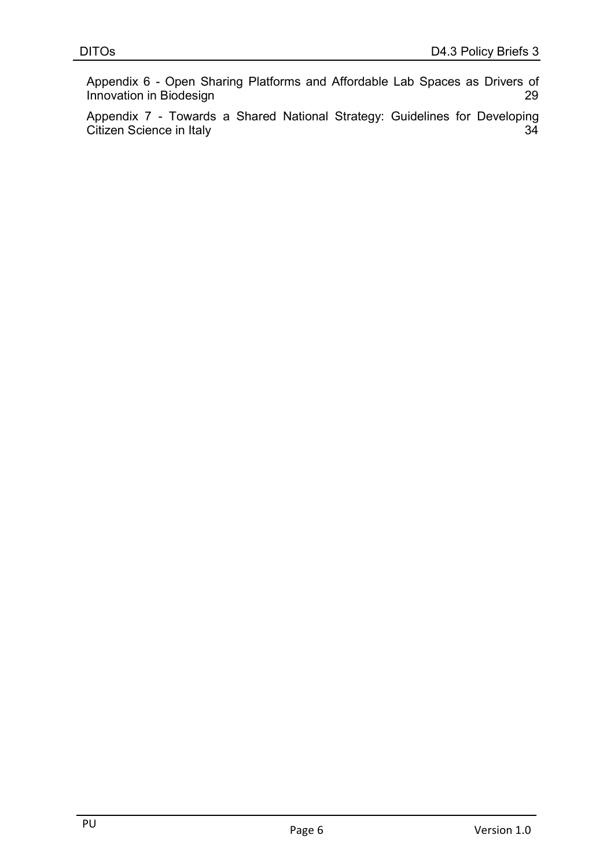Appendix 6 - Open Sharing Platforms and Affordable Lab Spaces as Drivers of **Innovation in Biodesign 29** 

Appendix 7 - Towards a Shared National Strategy: Guidelines for Developing Citizen Science in Italy 34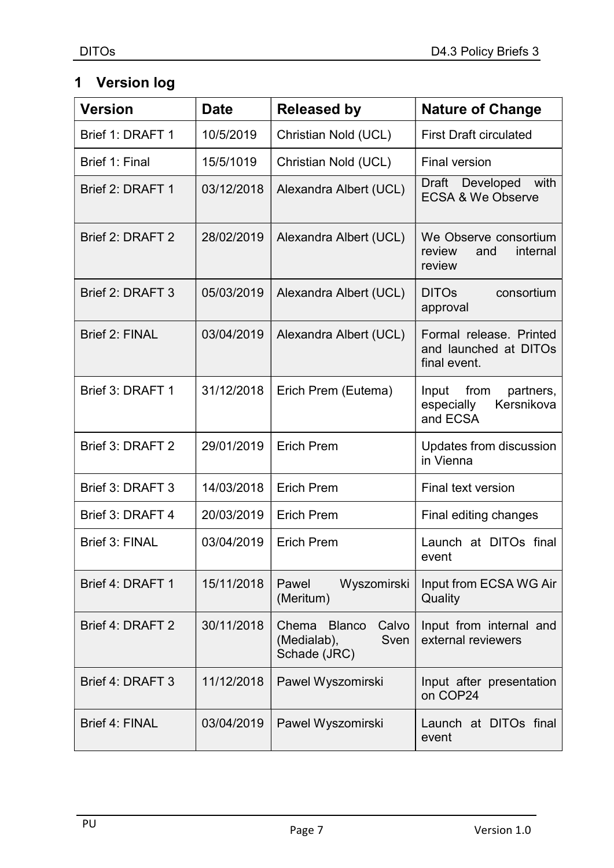## 1 Version log

| <b>Version</b>        | <b>Date</b> | <b>Released by</b>                                                     | <b>Nature of Change</b>                                            |
|-----------------------|-------------|------------------------------------------------------------------------|--------------------------------------------------------------------|
| Brief 1: DRAFT 1      | 10/5/2019   | Christian Nold (UCL)                                                   | <b>First Draft circulated</b>                                      |
| Brief 1: Final        | 15/5/1019   | Christian Nold (UCL)                                                   | <b>Final version</b>                                               |
| Brief 2: DRAFT 1      | 03/12/2018  | Alexandra Albert (UCL)                                                 | Draft Developed<br>with<br><b>ECSA &amp; We Observe</b>            |
| Brief 2: DRAFT 2      | 28/02/2019  | Alexandra Albert (UCL)                                                 | We Observe consortium<br>internal<br>review<br>and<br>review       |
| Brief 2: DRAFT 3      | 05/03/2019  | Alexandra Albert (UCL)                                                 | <b>DITOs</b><br>consortium<br>approval                             |
| <b>Brief 2: FINAL</b> | 03/04/2019  | Alexandra Albert (UCL)                                                 | Formal release. Printed<br>and launched at DITOs<br>final event.   |
| Brief 3: DRAFT 1      | 31/12/2018  | Erich Prem (Eutema)                                                    | from<br>partners,<br>Input<br>Kersnikova<br>especially<br>and ECSA |
| Brief 3: DRAFT 2      | 29/01/2019  | <b>Erich Prem</b>                                                      | Updates from discussion<br>in Vienna                               |
| Brief 3: DRAFT 3      | 14/03/2018  | <b>Erich Prem</b>                                                      | Final text version                                                 |
| Brief 3: DRAFT 4      | 20/03/2019  | <b>Erich Prem</b>                                                      | Final editing changes                                              |
| <b>Brief 3: FINAL</b> | 03/04/2019  | <b>Erich Prem</b>                                                      | Launch at DITOs final<br>event                                     |
| Brief 4: DRAFT 1      | 15/11/2018  | Wyszomirski<br>Pawel<br>(Meritum)                                      | Input from ECSA WG Air<br>Quality                                  |
| Brief 4: DRAFT 2      | 30/11/2018  | <b>Blanco</b><br>Chema<br>Calvo<br>(Medialab),<br>Sven<br>Schade (JRC) | Input from internal and<br>external reviewers                      |
| Brief 4: DRAFT 3      | 11/12/2018  | Pawel Wyszomirski                                                      | Input after presentation<br>on COP24                               |
| <b>Brief 4: FINAL</b> | 03/04/2019  | Pawel Wyszomirski                                                      | Launch at DITOs final<br>event                                     |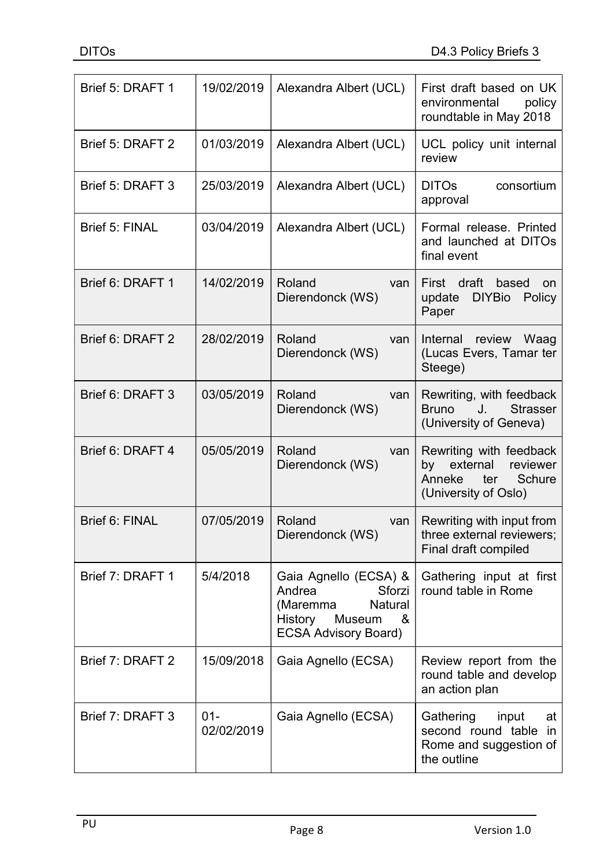| Brief 5: DRAFT 1      | 19/02/2019           | Alexandra Albert (UCL)                                                                                                           | First draft based on UK<br>environmental<br>policy<br>roundtable in May 2018                             |
|-----------------------|----------------------|----------------------------------------------------------------------------------------------------------------------------------|----------------------------------------------------------------------------------------------------------|
| Brief 5: DRAFT 2      | 01/03/2019           | Alexandra Albert (UCL)                                                                                                           | UCL policy unit internal<br>review                                                                       |
| Brief 5: DRAFT 3      | 25/03/2019           | Alexandra Albert (UCL)                                                                                                           | <b>DITOs</b><br>consortium<br>approval                                                                   |
| <b>Brief 5: FINAL</b> | 03/04/2019           | Alexandra Albert (UCL)                                                                                                           | Formal release. Printed<br>and launched at DITOs<br>final event                                          |
| Brief 6: DRAFT 1      | 14/02/2019           | Roland<br>van<br>Dierendonck (WS)                                                                                                | First draft<br>based<br>on<br><b>DIYBio</b><br>Policy<br>update<br>Paper                                 |
| Brief 6: DRAFT 2      | 28/02/2019           | Roland<br>van<br>Dierendonck (WS)                                                                                                | Internal review<br>Waag<br>(Lucas Evers, Tamar ter<br>Steege)                                            |
| Brief 6: DRAFT 3      | 03/05/2019           | Roland<br>van<br>Dierendonck (WS)                                                                                                | Rewriting, with feedback<br><b>Strasser</b><br><b>Bruno</b><br>J.<br>(University of Geneva)              |
| Brief 6: DRAFT 4      | 05/05/2019           | Roland<br>van<br>Dierendonck (WS)                                                                                                | Rewriting with feedback<br>external<br>reviewer<br>by<br>Anneke<br>ter<br>Schure<br>(University of Oslo) |
| <b>Brief 6: FINAL</b> | 07/05/2019           | Roland<br>van<br>Dierendonck (WS)                                                                                                | Rewriting with input from<br>three external reviewers;<br>Final draft compiled                           |
| Brief 7: DRAFT 1      | 5/4/2018             | Gaia Agnello (ECSA) &<br>Andrea<br>Sforzi<br><b>Natural</b><br>(Maremma<br>History<br>Museum<br>&<br><b>ECSA Advisory Board)</b> | Gathering input at first<br>round table in Rome                                                          |
| Brief 7: DRAFT 2      | 15/09/2018           | Gaia Agnello (ECSA)                                                                                                              | Review report from the<br>round table and develop<br>an action plan                                      |
| Brief 7: DRAFT 3      | $01 -$<br>02/02/2019 | Gaia Agnello (ECSA)                                                                                                              | Gathering<br>input<br>at<br>second round table in<br>Rome and suggestion of<br>the outline               |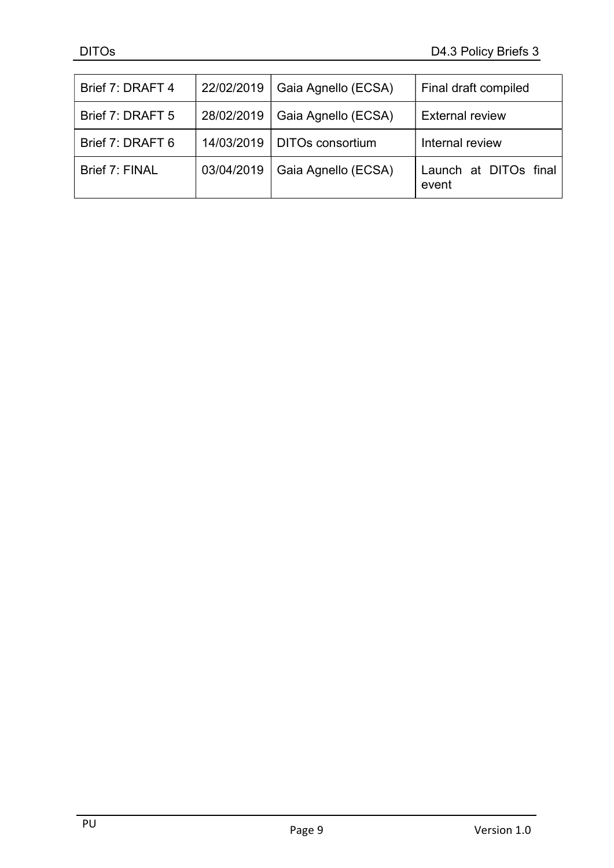| Brief 7: DRAFT 4 | 22/02/2019 | Gaia Agnello (ECSA)     | Final draft compiled           |
|------------------|------------|-------------------------|--------------------------------|
| Brief 7: DRAFT 5 | 28/02/2019 | Gaia Agnello (ECSA)     | <b>External review</b>         |
| Brief 7: DRAFT 6 | 14/03/2019 | <b>DITOs consortium</b> | Internal review                |
| Brief 7: FINAL   | 03/04/2019 | Gaia Agnello (ECSA)     | Launch at DITOs final<br>event |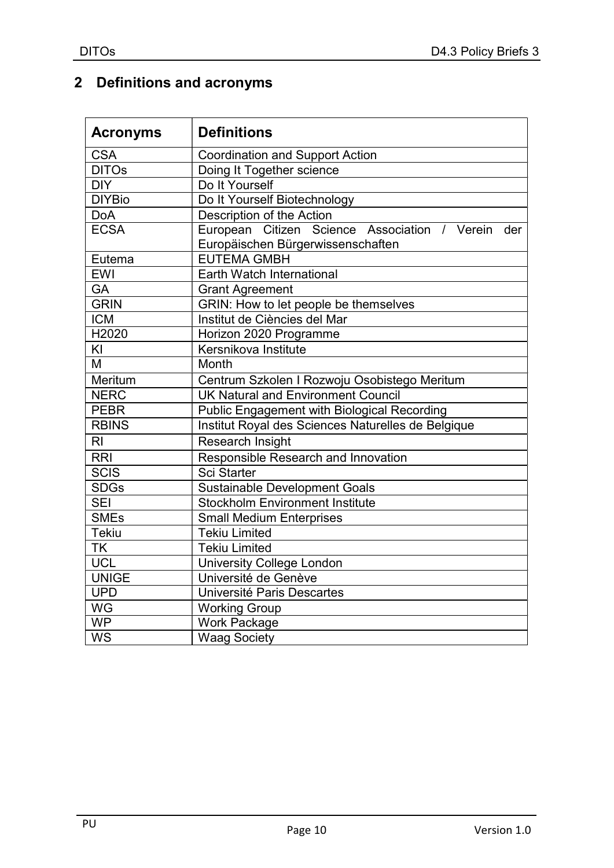## 2 Definitions and acronyms

| <b>Acronyms</b> | <b>Definitions</b>                                                                        |  |  |
|-----------------|-------------------------------------------------------------------------------------------|--|--|
| <b>CSA</b>      | <b>Coordination and Support Action</b>                                                    |  |  |
| <b>DITOs</b>    | Doing It Together science                                                                 |  |  |
| <b>DIY</b>      | Do It Yourself                                                                            |  |  |
| <b>DIYBio</b>   | Do It Yourself Biotechnology                                                              |  |  |
| <b>DoA</b>      | Description of the Action                                                                 |  |  |
| <b>ECSA</b>     | European Citizen Science Association / Verein<br>der<br>Europäischen Bürgerwissenschaften |  |  |
| Eutema          | <b>EUTEMA GMBH</b>                                                                        |  |  |
| <b>EWI</b>      | Earth Watch International                                                                 |  |  |
| GA              | <b>Grant Agreement</b>                                                                    |  |  |
| <b>GRIN</b>     | GRIN: How to let people be themselves                                                     |  |  |
| <b>ICM</b>      | Institut de Ciències del Mar                                                              |  |  |
| H2020           | Horizon 2020 Programme                                                                    |  |  |
| KI              | Kersnikova Institute                                                                      |  |  |
| M               | Month                                                                                     |  |  |
| Meritum         | Centrum Szkolen I Rozwoju Osobistego Meritum                                              |  |  |
| <b>NERC</b>     | <b>UK Natural and Environment Council</b>                                                 |  |  |
| <b>PEBR</b>     | <b>Public Engagement with Biological Recording</b>                                        |  |  |
| <b>RBINS</b>    | Institut Royal des Sciences Naturelles de Belgique                                        |  |  |
| R <sub>l</sub>  | Research Insight                                                                          |  |  |
| <b>RRI</b>      | Responsible Research and Innovation                                                       |  |  |
| <b>SCIS</b>     | <b>Sci Starter</b>                                                                        |  |  |
| <b>SDGs</b>     | <b>Sustainable Development Goals</b>                                                      |  |  |
| <b>SEI</b>      | <b>Stockholm Environment Institute</b>                                                    |  |  |
| <b>SMEs</b>     | <b>Small Medium Enterprises</b>                                                           |  |  |
| <b>Tekiu</b>    | <b>Tekiu Limited</b>                                                                      |  |  |
| <b>TK</b>       | <b>Tekiu Limited</b>                                                                      |  |  |
| <b>UCL</b>      | <b>University College London</b>                                                          |  |  |
| <b>UNIGE</b>    | Université de Genève                                                                      |  |  |
| <b>UPD</b>      | Université Paris Descartes                                                                |  |  |
| <b>WG</b>       | <b>Working Group</b>                                                                      |  |  |
| <b>WP</b>       | <b>Work Package</b>                                                                       |  |  |
| <b>WS</b>       | <b>Waag Society</b>                                                                       |  |  |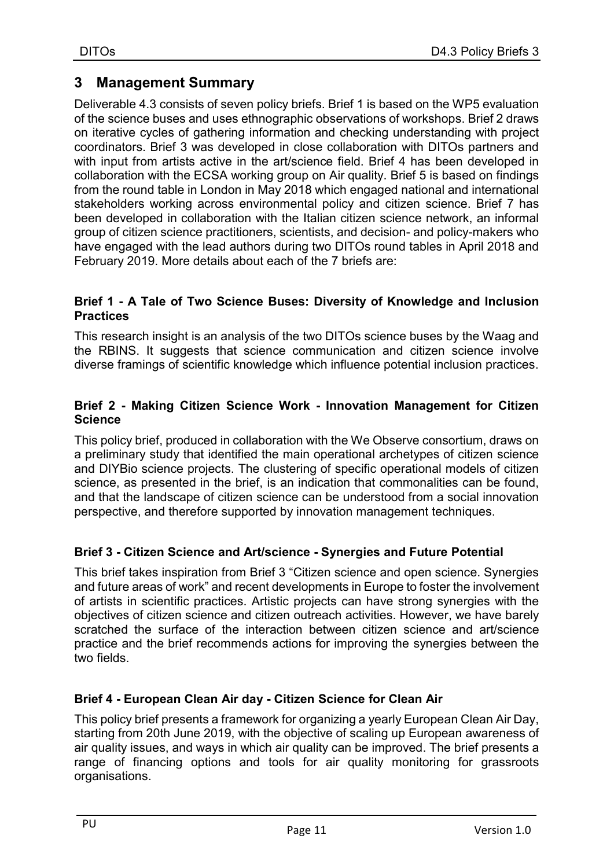## 3 Management Summary

Deliverable 4.3 consists of seven policy briefs. Brief 1 is based on the WP5 evaluation of the science buses and uses ethnographic observations of workshops. Brief 2 draws on iterative cycles of gathering information and checking understanding with project coordinators. Brief 3 was developed in close collaboration with DITOs partners and with input from artists active in the art/science field. Brief 4 has been developed in collaboration with the ECSA working group on Air quality. Brief 5 is based on findings from the round table in London in May 2018 which engaged national and international stakeholders working across environmental policy and citizen science. Brief 7 has been developed in collaboration with the Italian citizen science network, an informal group of citizen science practitioners, scientists, and decision- and policy-makers who have engaged with the lead authors during two DITOs round tables in April 2018 and February 2019. More details about each of the 7 briefs are:

#### Brief 1 - A Tale of Two Science Buses: Diversity of Knowledge and Inclusion **Practices**

This research insight is an analysis of the two DITOs science buses by the Waag and the RBINS. It suggests that science communication and citizen science involve diverse framings of scientific knowledge which influence potential inclusion practices.

#### Brief 2 - Making Citizen Science Work - Innovation Management for Citizen **Science**

This policy brief, produced in collaboration with the We Observe consortium, draws on a preliminary study that identified the main operational archetypes of citizen science and DIYBio science projects. The clustering of specific operational models of citizen science, as presented in the brief, is an indication that commonalities can be found, and that the landscape of citizen science can be understood from a social innovation perspective, and therefore supported by innovation management techniques.

#### Brief 3 - Citizen Science and Art/science - Synergies and Future Potential

This brief takes inspiration from Brief 3 "Citizen science and open science. Synergies and future areas of work" and recent developments in Europe to foster the involvement of artists in scientific practices. Artistic projects can have strong synergies with the objectives of citizen science and citizen outreach activities. However, we have barely scratched the surface of the interaction between citizen science and art/science practice and the brief recommends actions for improving the synergies between the two fields.

#### Brief 4 - European Clean Air day - Citizen Science for Clean Air

This policy brief presents a framework for organizing a yearly European Clean Air Day, starting from 20th June 2019, with the objective of scaling up European awareness of air quality issues, and ways in which air quality can be improved. The brief presents a range of financing options and tools for air quality monitoring for grassroots organisations.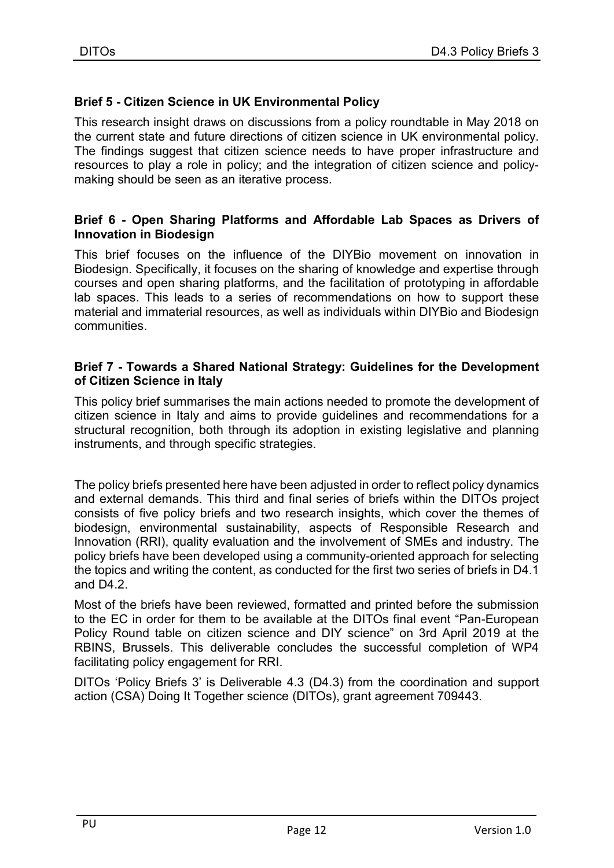### Brief 5 - Citizen Science in UK Environmental Policy

This research insight draws on discussions from a policy roundtable in May 2018 on the current state and future directions of citizen science in UK environmental policy. The findings suggest that citizen science needs to have proper infrastructure and resources to play a role in policy; and the integration of citizen science and policymaking should be seen as an iterative process.

#### Brief 6 - Open Sharing Platforms and Affordable Lab Spaces as Drivers of Innovation in Biodesign

This brief focuses on the influence of the DIYBio movement on innovation in Biodesign. Specifically, it focuses on the sharing of knowledge and expertise through courses and open sharing platforms, and the facilitation of prototyping in affordable lab spaces. This leads to a series of recommendations on how to support these material and immaterial resources, as well as individuals within DIYBio and Biodesign communities.

#### Brief 7 - Towards a Shared National Strategy: Guidelines for the Development of Citizen Science in Italy

This policy brief summarises the main actions needed to promote the development of citizen science in Italy and aims to provide guidelines and recommendations for a structural recognition, both through its adoption in existing legislative and planning instruments, and through specific strategies.

The policy briefs presented here have been adjusted in order to reflect policy dynamics and external demands. This third and final series of briefs within the DITOs project consists of five policy briefs and two research insights, which cover the themes of biodesign, environmental sustainability, aspects of Responsible Research and Innovation (RRI), quality evaluation and the involvement of SMEs and industry. The policy briefs have been developed using a community-oriented approach for selecting the topics and writing the content, as conducted for the first two series of briefs in D4.1 and D4.2.

Most of the briefs have been reviewed, formatted and printed before the submission to the EC in order for them to be available at the DITOs final event "Pan-European Policy Round table on citizen science and DIY science" on 3rd April 2019 at the RBINS, Brussels. This deliverable concludes the successful completion of WP4 facilitating policy engagement for RRI.

DITOs 'Policy Briefs 3' is Deliverable 4.3 (D4.3) from the coordination and support action (CSA) Doing It Together science (DITOs), grant agreement 709443.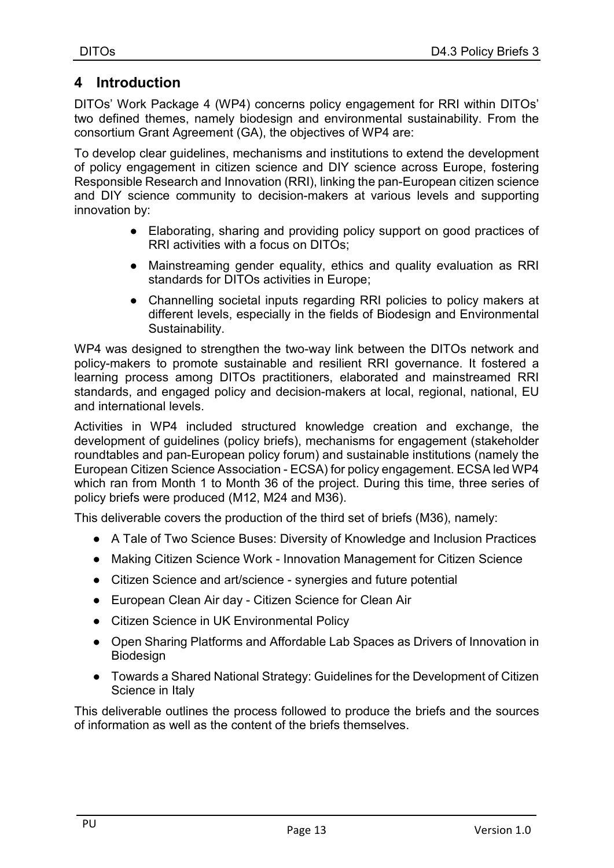## 4 Introduction

DITOs' Work Package 4 (WP4) concerns policy engagement for RRI within DITOs' two defined themes, namely biodesign and environmental sustainability. From the consortium Grant Agreement (GA), the objectives of WP4 are:

To develop clear guidelines, mechanisms and institutions to extend the development of policy engagement in citizen science and DIY science across Europe, fostering Responsible Research and Innovation (RRI), linking the pan-European citizen science and DIY science community to decision-makers at various levels and supporting innovation by:

- Elaborating, sharing and providing policy support on good practices of RRI activities with a focus on DITOs;
- Mainstreaming gender equality, ethics and quality evaluation as RRI standards for DITOs activities in Europe;
- Channelling societal inputs regarding RRI policies to policy makers at different levels, especially in the fields of Biodesign and Environmental Sustainability.

WP4 was designed to strengthen the two-way link between the DITOs network and policy-makers to promote sustainable and resilient RRI governance. It fostered a learning process among DITOs practitioners, elaborated and mainstreamed RRI standards, and engaged policy and decision-makers at local, regional, national, EU and international levels.

Activities in WP4 included structured knowledge creation and exchange, the development of guidelines (policy briefs), mechanisms for engagement (stakeholder roundtables and pan-European policy forum) and sustainable institutions (namely the European Citizen Science Association - ECSA) for policy engagement. ECSA led WP4 which ran from Month 1 to Month 36 of the project. During this time, three series of policy briefs were produced (M12, M24 and M36).

This deliverable covers the production of the third set of briefs (M36), namely:

- A Tale of Two Science Buses: Diversity of Knowledge and Inclusion Practices
- Making Citizen Science Work Innovation Management for Citizen Science
- Citizen Science and art/science synergies and future potential
- European Clean Air day Citizen Science for Clean Air
- Citizen Science in UK Environmental Policy
- Open Sharing Platforms and Affordable Lab Spaces as Drivers of Innovation in Biodesign
- Towards a Shared National Strategy: Guidelines for the Development of Citizen Science in Italy

This deliverable outlines the process followed to produce the briefs and the sources of information as well as the content of the briefs themselves.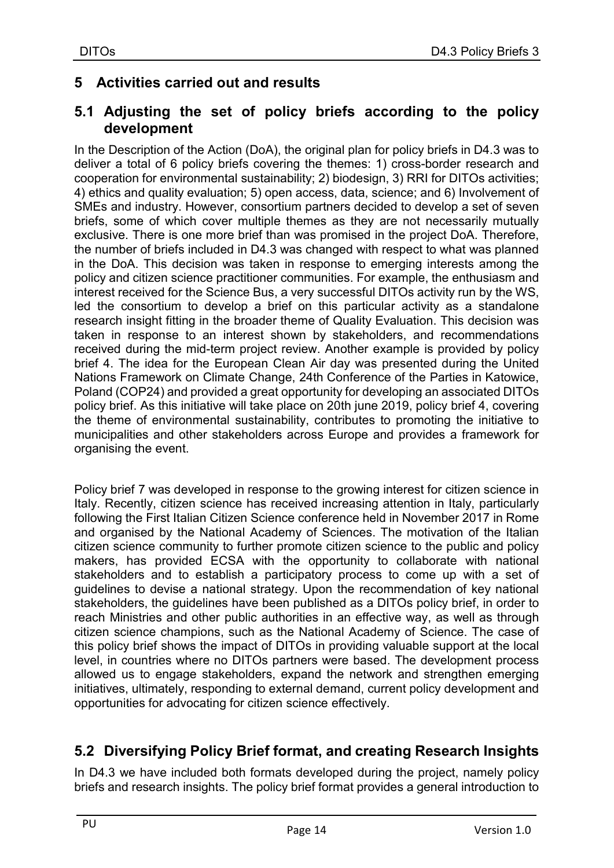## 5 Activities carried out and results

## 5.1 Adjusting the set of policy briefs according to the policy development

In the Description of the Action (DoA), the original plan for policy briefs in D4.3 was to deliver a total of 6 policy briefs covering the themes: 1) cross-border research and cooperation for environmental sustainability; 2) biodesign, 3) RRI for DITOs activities; 4) ethics and quality evaluation; 5) open access, data, science; and 6) Involvement of SMEs and industry. However, consortium partners decided to develop a set of seven briefs, some of which cover multiple themes as they are not necessarily mutually exclusive. There is one more brief than was promised in the project DoA. Therefore, the number of briefs included in D4.3 was changed with respect to what was planned in the DoA. This decision was taken in response to emerging interests among the policy and citizen science practitioner communities. For example, the enthusiasm and interest received for the Science Bus, a very successful DITOs activity run by the WS, led the consortium to develop a brief on this particular activity as a standalone research insight fitting in the broader theme of Quality Evaluation. This decision was taken in response to an interest shown by stakeholders, and recommendations received during the mid-term project review. Another example is provided by policy brief 4. The idea for the European Clean Air day was presented during the United Nations Framework on Climate Change, 24th Conference of the Parties in Katowice, Poland (COP24) and provided a great opportunity for developing an associated DITOs policy brief. As this initiative will take place on 20th june 2019, policy brief 4, covering the theme of environmental sustainability, contributes to promoting the initiative to municipalities and other stakeholders across Europe and provides a framework for organising the event.

Policy brief 7 was developed in response to the growing interest for citizen science in Italy. Recently, citizen science has received increasing attention in Italy, particularly following the First Italian Citizen Science conference held in November 2017 in Rome and organised by the National Academy of Sciences. The motivation of the Italian citizen science community to further promote citizen science to the public and policy makers, has provided ECSA with the opportunity to collaborate with national stakeholders and to establish a participatory process to come up with a set of guidelines to devise a national strategy. Upon the recommendation of key national stakeholders, the guidelines have been published as a DITOs policy brief, in order to reach Ministries and other public authorities in an effective way, as well as through citizen science champions, such as the National Academy of Science. The case of this policy brief shows the impact of DITOs in providing valuable support at the local level, in countries where no DITOs partners were based. The development process allowed us to engage stakeholders, expand the network and strengthen emerging initiatives, ultimately, responding to external demand, current policy development and opportunities for advocating for citizen science effectively.

## 5.2 Diversifying Policy Brief format, and creating Research Insights

In D4.3 we have included both formats developed during the project, namely policy briefs and research insights. The policy brief format provides a general introduction to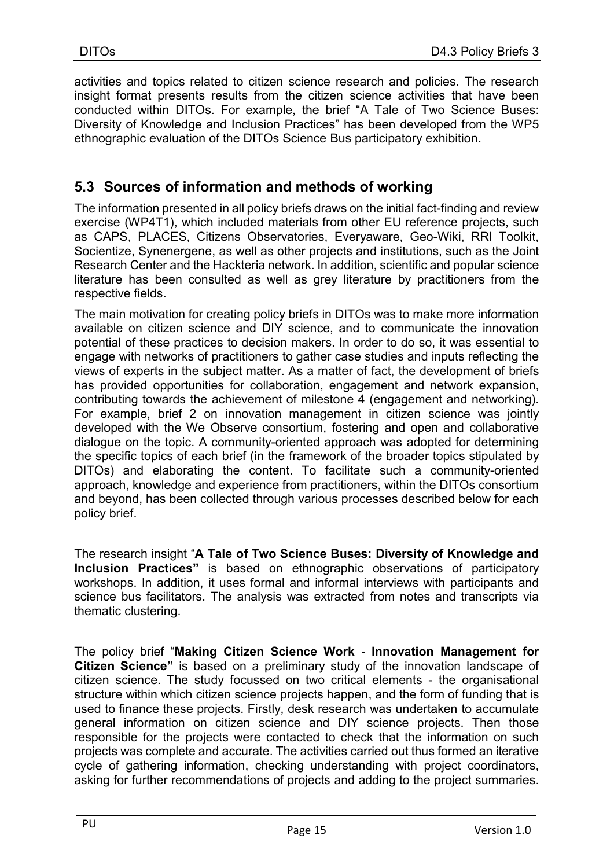activities and topics related to citizen science research and policies. The research insight format presents results from the citizen science activities that have been conducted within DITOs. For example, the brief "A Tale of Two Science Buses: Diversity of Knowledge and Inclusion Practices" has been developed from the WP5 ethnographic evaluation of the DITOs Science Bus participatory exhibition.

## 5.3 Sources of information and methods of working

The information presented in all policy briefs draws on the initial fact-finding and review exercise (WP4T1), which included materials from other EU reference projects, such as CAPS, PLACES, Citizens Observatories, Everyaware, Geo-Wiki, RRI Toolkit, Socientize, Synenergene, as well as other projects and institutions, such as the Joint Research Center and the Hackteria network. In addition, scientific and popular science literature has been consulted as well as grey literature by practitioners from the respective fields.

The main motivation for creating policy briefs in DITOs was to make more information available on citizen science and DIY science, and to communicate the innovation potential of these practices to decision makers. In order to do so, it was essential to engage with networks of practitioners to gather case studies and inputs reflecting the views of experts in the subject matter. As a matter of fact, the development of briefs has provided opportunities for collaboration, engagement and network expansion, contributing towards the achievement of milestone 4 (engagement and networking). For example, brief 2 on innovation management in citizen science was jointly developed with the We Observe consortium, fostering and open and collaborative dialogue on the topic. A community-oriented approach was adopted for determining the specific topics of each brief (in the framework of the broader topics stipulated by DITOs) and elaborating the content. To facilitate such a community-oriented approach, knowledge and experience from practitioners, within the DITOs consortium and beyond, has been collected through various processes described below for each policy brief.

The research insight "A Tale of Two Science Buses: Diversity of Knowledge and Inclusion Practices" is based on ethnographic observations of participatory workshops. In addition, it uses formal and informal interviews with participants and science bus facilitators. The analysis was extracted from notes and transcripts via thematic clustering.

The policy brief "Making Citizen Science Work - Innovation Management for Citizen Science" is based on a preliminary study of the innovation landscape of citizen science. The study focussed on two critical elements - the organisational structure within which citizen science projects happen, and the form of funding that is used to finance these projects. Firstly, desk research was undertaken to accumulate general information on citizen science and DIY science projects. Then those responsible for the projects were contacted to check that the information on such projects was complete and accurate. The activities carried out thus formed an iterative cycle of gathering information, checking understanding with project coordinators, asking for further recommendations of projects and adding to the project summaries.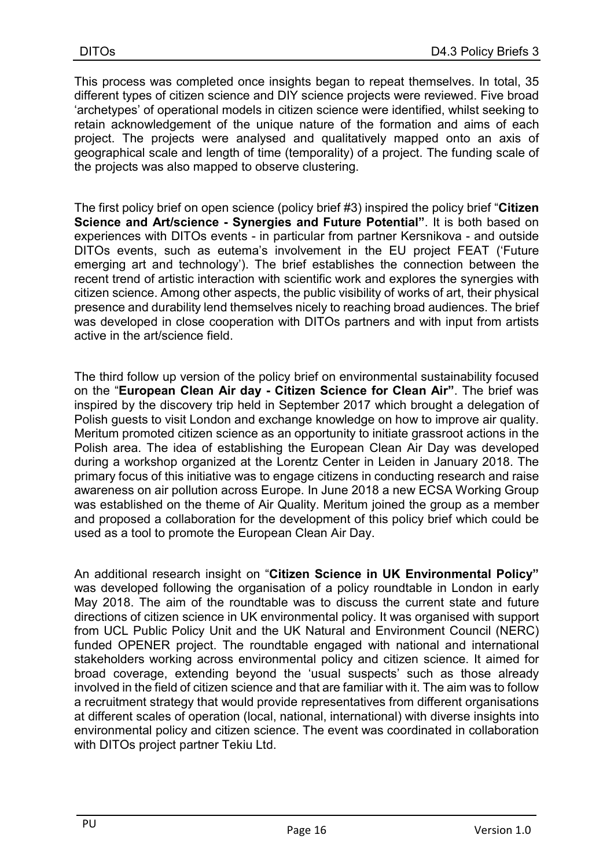This process was completed once insights began to repeat themselves. In total, 35 different types of citizen science and DIY science projects were reviewed. Five broad 'archetypes' of operational models in citizen science were identified, whilst seeking to retain acknowledgement of the unique nature of the formation and aims of each project. The projects were analysed and qualitatively mapped onto an axis of geographical scale and length of time (temporality) of a project. The funding scale of the projects was also mapped to observe clustering.

The first policy brief on open science (policy brief #3) inspired the policy brief "Citizen Science and Art/science - Synergies and Future Potential". It is both based on experiences with DITOs events - in particular from partner Kersnikova - and outside DITOs events, such as eutema's involvement in the EU project FEAT ('Future emerging art and technology'). The brief establishes the connection between the recent trend of artistic interaction with scientific work and explores the synergies with citizen science. Among other aspects, the public visibility of works of art, their physical presence and durability lend themselves nicely to reaching broad audiences. The brief was developed in close cooperation with DITOs partners and with input from artists active in the art/science field.

The third follow up version of the policy brief on environmental sustainability focused on the "European Clean Air day - Citizen Science for Clean Air". The brief was inspired by the discovery trip held in September 2017 which brought a delegation of Polish guests to visit London and exchange knowledge on how to improve air quality. Meritum promoted citizen science as an opportunity to initiate grassroot actions in the Polish area. The idea of establishing the European Clean Air Day was developed during a workshop organized at the Lorentz Center in Leiden in January 2018. The primary focus of this initiative was to engage citizens in conducting research and raise awareness on air pollution across Europe. In June 2018 a new ECSA Working Group was established on the theme of Air Quality. Meritum joined the group as a member and proposed a collaboration for the development of this policy brief which could be used as a tool to promote the European Clean Air Day.

An additional research insight on "Citizen Science in UK Environmental Policy" was developed following the organisation of a policy roundtable in London in early May 2018. The aim of the roundtable was to discuss the current state and future directions of citizen science in UK environmental policy. It was organised with support from UCL Public Policy Unit and the UK Natural and Environment Council (NERC) funded OPENER project. The roundtable engaged with national and international stakeholders working across environmental policy and citizen science. It aimed for broad coverage, extending beyond the 'usual suspects' such as those already involved in the field of citizen science and that are familiar with it. The aim was to follow a recruitment strategy that would provide representatives from different organisations at different scales of operation (local, national, international) with diverse insights into environmental policy and citizen science. The event was coordinated in collaboration with DITOs project partner Tekiu Ltd.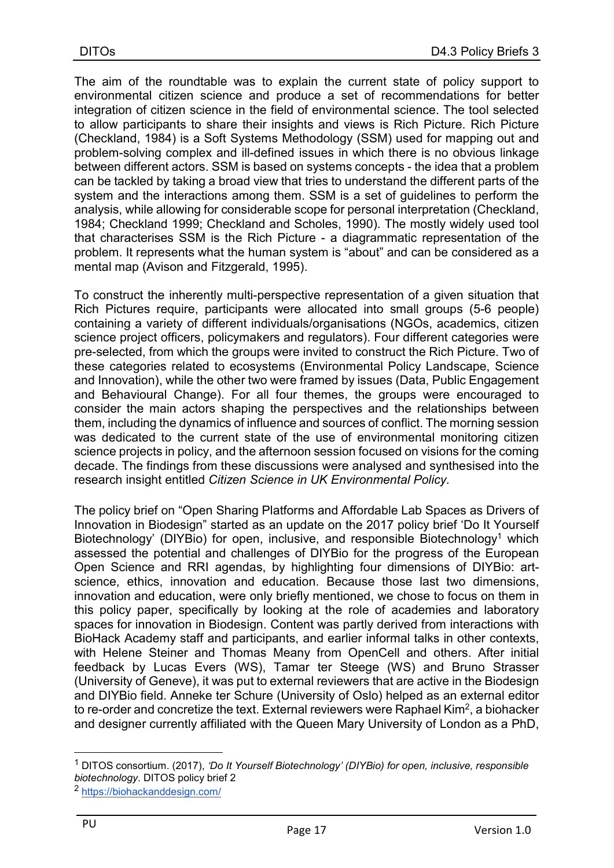The aim of the roundtable was to explain the current state of policy support to environmental citizen science and produce a set of recommendations for better integration of citizen science in the field of environmental science. The tool selected to allow participants to share their insights and views is Rich Picture. Rich Picture (Checkland, 1984) is a Soft Systems Methodology (SSM) used for mapping out and problem-solving complex and ill-defined issues in which there is no obvious linkage between different actors. SSM is based on systems concepts - the idea that a problem can be tackled by taking a broad view that tries to understand the different parts of the system and the interactions among them. SSM is a set of guidelines to perform the analysis, while allowing for considerable scope for personal interpretation (Checkland, 1984; Checkland 1999; Checkland and Scholes, 1990). The mostly widely used tool that characterises SSM is the Rich Picture - a diagrammatic representation of the problem. It represents what the human system is "about" and can be considered as a mental map (Avison and Fitzgerald, 1995).

To construct the inherently multi-perspective representation of a given situation that Rich Pictures require, participants were allocated into small groups (5-6 people) containing a variety of different individuals/organisations (NGOs, academics, citizen science project officers, policymakers and regulators). Four different categories were pre-selected, from which the groups were invited to construct the Rich Picture. Two of these categories related to ecosystems (Environmental Policy Landscape, Science and Innovation), while the other two were framed by issues (Data, Public Engagement and Behavioural Change). For all four themes, the groups were encouraged to consider the main actors shaping the perspectives and the relationships between them, including the dynamics of influence and sources of conflict. The morning session was dedicated to the current state of the use of environmental monitoring citizen science projects in policy, and the afternoon session focused on visions for the coming decade. The findings from these discussions were analysed and synthesised into the research insight entitled Citizen Science in UK Environmental Policy.

The policy brief on "Open Sharing Platforms and Affordable Lab Spaces as Drivers of Innovation in Biodesign" started as an update on the 2017 policy brief 'Do It Yourself Biotechnology' (DIYBio) for open, inclusive, and responsible Biotechnology<sup>1</sup> which assessed the potential and challenges of DIYBio for the progress of the European Open Science and RRI agendas, by highlighting four dimensions of DIYBio: artscience, ethics, innovation and education. Because those last two dimensions, innovation and education, were only briefly mentioned, we chose to focus on them in this policy paper, specifically by looking at the role of academies and laboratory spaces for innovation in Biodesign. Content was partly derived from interactions with BioHack Academy staff and participants, and earlier informal talks in other contexts, with Helene Steiner and Thomas Meany from OpenCell and others. After initial feedback by Lucas Evers (WS), Tamar ter Steege (WS) and Bruno Strasser (University of Geneve), it was put to external reviewers that are active in the Biodesign and DIYBio field. Anneke ter Schure (University of Oslo) helped as an external editor to re-order and concretize the text. External reviewers were Raphael Kim<sup>2</sup>, a biohacker and designer currently affiliated with the Queen Mary University of London as a PhD,

<sup>&</sup>lt;sup>1</sup> DITOS consortium. (2017), 'Do It Yourself Biotechnology' (DIYBio) for open, inclusive, responsible biotechnology. DITOS policy brief 2

<sup>2</sup> https://biohackanddesign.com/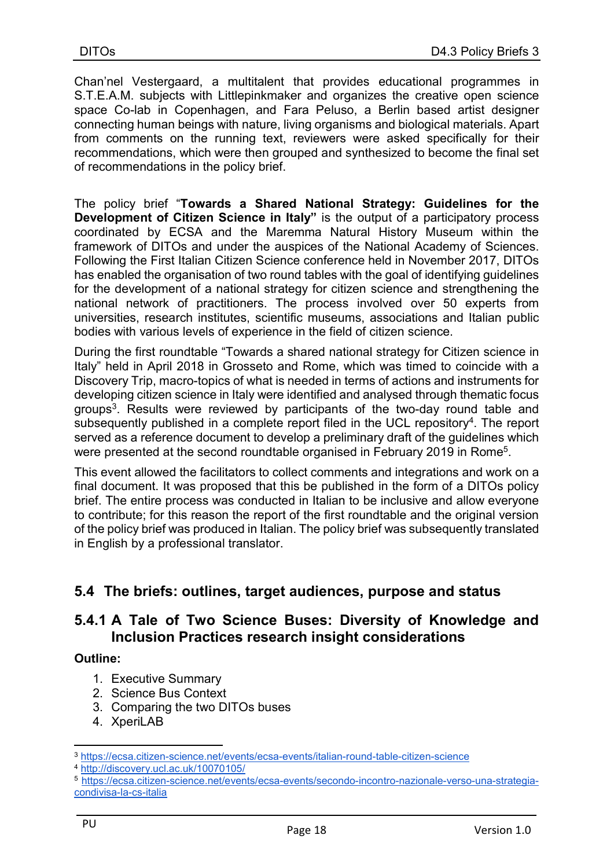Chan'nel Vestergaard, a multitalent that provides educational programmes in S.T.E.A.M. subjects with Littlepinkmaker and organizes the creative open science space Co-lab in Copenhagen, and Fara Peluso, a Berlin based artist designer connecting human beings with nature, living organisms and biological materials. Apart from comments on the running text, reviewers were asked specifically for their recommendations, which were then grouped and synthesized to become the final set of recommendations in the policy brief.

The policy brief "Towards a Shared National Strategy: Guidelines for the Development of Citizen Science in Italy" is the output of a participatory process coordinated by ECSA and the Maremma Natural History Museum within the framework of DITOs and under the auspices of the National Academy of Sciences. Following the First Italian Citizen Science conference held in November 2017, DITOs has enabled the organisation of two round tables with the goal of identifying guidelines for the development of a national strategy for citizen science and strengthening the national network of practitioners. The process involved over 50 experts from universities, research institutes, scientific museums, associations and Italian public bodies with various levels of experience in the field of citizen science.

During the first roundtable "Towards a shared national strategy for Citizen science in Italy" held in April 2018 in Grosseto and Rome, which was timed to coincide with a Discovery Trip, macro-topics of what is needed in terms of actions and instruments for developing citizen science in Italy were identified and analysed through thematic focus groups<sup>3</sup>. Results were reviewed by participants of the two-day round table and subsequently published in a complete report filed in the UCL repository<sup>4</sup>. The report served as a reference document to develop a preliminary draft of the guidelines which were presented at the second roundtable organised in February 2019 in Rome<sup>5</sup>.

This event allowed the facilitators to collect comments and integrations and work on a final document. It was proposed that this be published in the form of a DITOs policy brief. The entire process was conducted in Italian to be inclusive and allow everyone to contribute; for this reason the report of the first roundtable and the original version of the policy brief was produced in Italian. The policy brief was subsequently translated in English by a professional translator.

## 5.4 The briefs: outlines, target audiences, purpose and status

### 5.4.1 A Tale of Two Science Buses: Diversity of Knowledge and Inclusion Practices research insight considerations

#### Outline:

- 1. Executive Summary
- 2. Science Bus Context
- 3. Comparing the two DITOs buses
- 4. XperiLAB

<sup>3</sup> https://ecsa.citizen-science.net/events/ecsa-events/italian-round-table-citizen-science

<sup>4</sup> http://discovery.ucl.ac.uk/10070105/

<sup>5</sup> https://ecsa.citizen-science.net/events/ecsa-events/secondo-incontro-nazionale-verso-una-strategiacondivisa-la-cs-italia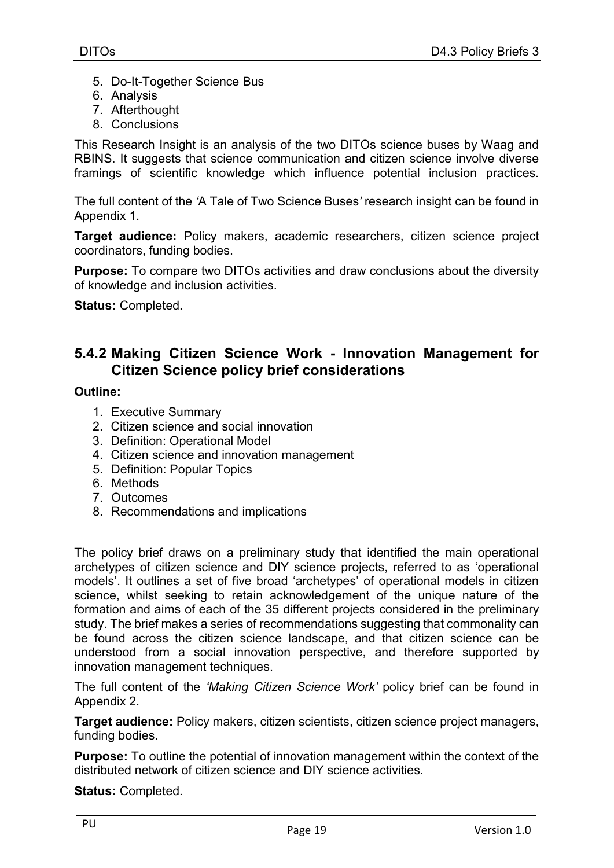- 5. Do-It-Together Science Bus
- 6. Analysis
- 7. Afterthought
- 8. Conclusions

This Research Insight is an analysis of the two DITOs science buses by Waag and RBINS. It suggests that science communication and citizen science involve diverse framings of scientific knowledge which influence potential inclusion practices.

The full content of the 'A Tale of Two Science Buses' research insight can be found in Appendix 1.

Target audience: Policy makers, academic researchers, citizen science project coordinators, funding bodies.

Purpose: To compare two DITOs activities and draw conclusions about the diversity of knowledge and inclusion activities.

Status: Completed.

#### 5.4.2 Making Citizen Science Work - Innovation Management for Citizen Science policy brief considerations

#### Outline:

- 1. Executive Summary
- 2. Citizen science and social innovation
- 3. Definition: Operational Model
- 4. Citizen science and innovation management
- 5. Definition: Popular Topics
- 6. Methods
- 7. Outcomes
- 8. Recommendations and implications

The policy brief draws on a preliminary study that identified the main operational archetypes of citizen science and DIY science projects, referred to as 'operational models'. It outlines a set of five broad 'archetypes' of operational models in citizen science, whilst seeking to retain acknowledgement of the unique nature of the formation and aims of each of the 35 different projects considered in the preliminary study. The brief makes a series of recommendations suggesting that commonality can be found across the citizen science landscape, and that citizen science can be understood from a social innovation perspective, and therefore supported by innovation management techniques.

The full content of the 'Making Citizen Science Work' policy brief can be found in Appendix 2.

Target audience: Policy makers, citizen scientists, citizen science project managers, funding bodies.

Purpose: To outline the potential of innovation management within the context of the distributed network of citizen science and DIY science activities.

Status: Completed.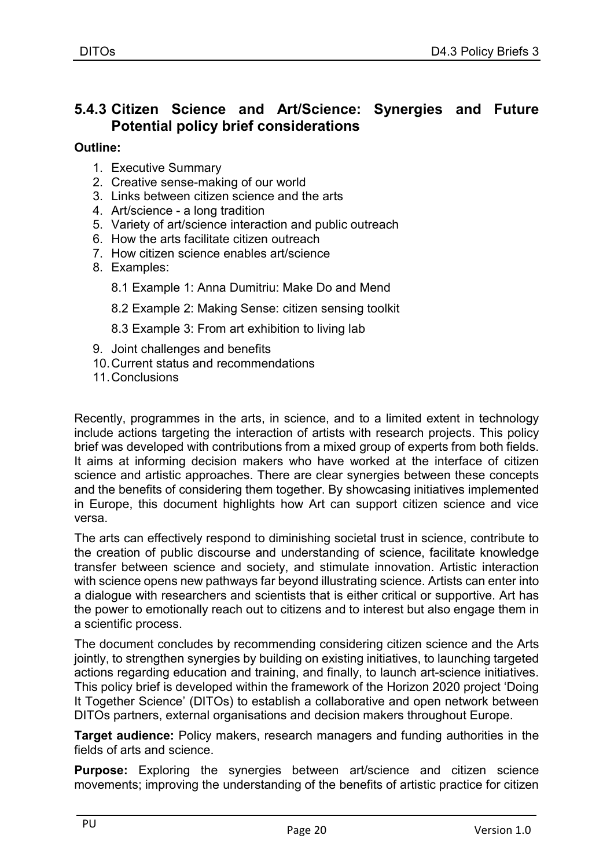## 5.4.3 Citizen Science and Art/Science: Synergies and Future Potential policy brief considerations

Outline:

- 1. Executive Summary
- 2. Creative sense-making of our world
- 3. Links between citizen science and the arts
- 4. Art/science a long tradition
- 5. Variety of art/science interaction and public outreach
- 6. How the arts facilitate citizen outreach
- 7. How citizen science enables art/science
- 8. Examples:
	- 8.1 Example 1: Anna Dumitriu: Make Do and Mend
	- 8.2 Example 2: Making Sense: citizen sensing toolkit

8.3 Example 3: From art exhibition to living lab

- 9. Joint challenges and benefits
- 10. Current status and recommendations
- 11. Conclusions

Recently, programmes in the arts, in science, and to a limited extent in technology include actions targeting the interaction of artists with research projects. This policy brief was developed with contributions from a mixed group of experts from both fields. It aims at informing decision makers who have worked at the interface of citizen science and artistic approaches. There are clear synergies between these concepts and the benefits of considering them together. By showcasing initiatives implemented in Europe, this document highlights how Art can support citizen science and vice versa.

The arts can effectively respond to diminishing societal trust in science, contribute to the creation of public discourse and understanding of science, facilitate knowledge transfer between science and society, and stimulate innovation. Artistic interaction with science opens new pathways far beyond illustrating science. Artists can enter into a dialogue with researchers and scientists that is either critical or supportive. Art has the power to emotionally reach out to citizens and to interest but also engage them in a scientific process.

The document concludes by recommending considering citizen science and the Arts jointly, to strengthen synergies by building on existing initiatives, to launching targeted actions regarding education and training, and finally, to launch art-science initiatives. This policy brief is developed within the framework of the Horizon 2020 project 'Doing It Together Science' (DITOs) to establish a collaborative and open network between DITOs partners, external organisations and decision makers throughout Europe.

Target audience: Policy makers, research managers and funding authorities in the fields of arts and science.

Purpose: Exploring the synergies between art/science and citizen science movements; improving the understanding of the benefits of artistic practice for citizen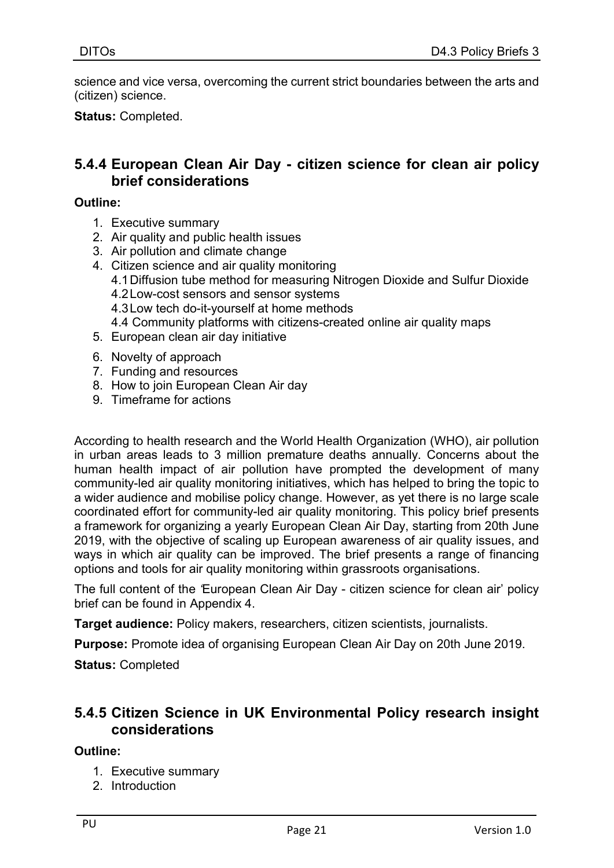science and vice versa, overcoming the current strict boundaries between the arts and (citizen) science.

Status: Completed.

## 5.4.4 European Clean Air Day - citizen science for clean air policy brief considerations

#### Outline:

- 1. Executive summary
- 2. Air quality and public health issues
- 3. Air pollution and climate change
- 4. Citizen science and air quality monitoring 4.1 Diffusion tube method for measuring Nitrogen Dioxide and Sulfur Dioxide 4.2 Low-cost sensors and sensor systems 4.3 Low tech do-it-yourself at home methods 4.4 Community platforms with citizens-created online air quality maps 5. European clean air day initiative
- 6. Novelty of approach
- 7. Funding and resources
- 8. How to join European Clean Air day
- 9. Timeframe for actions

According to health research and the World Health Organization (WHO), air pollution in urban areas leads to 3 million premature deaths annually. Concerns about the human health impact of air pollution have prompted the development of many community-led air quality monitoring initiatives, which has helped to bring the topic to a wider audience and mobilise policy change. However, as yet there is no large scale coordinated effort for community-led air quality monitoring. This policy brief presents a framework for organizing a yearly European Clean Air Day, starting from 20th June 2019, with the objective of scaling up European awareness of air quality issues, and ways in which air quality can be improved. The brief presents a range of financing options and tools for air quality monitoring within grassroots organisations.

The full content of the 'European Clean Air Day - citizen science for clean air' policy brief can be found in Appendix 4.

Target audience: Policy makers, researchers, citizen scientists, journalists.

Purpose: Promote idea of organising European Clean Air Day on 20th June 2019.

Status: Completed

### 5.4.5 Citizen Science in UK Environmental Policy research insight considerations

#### Outline:

- 1. Executive summary
- 2. Introduction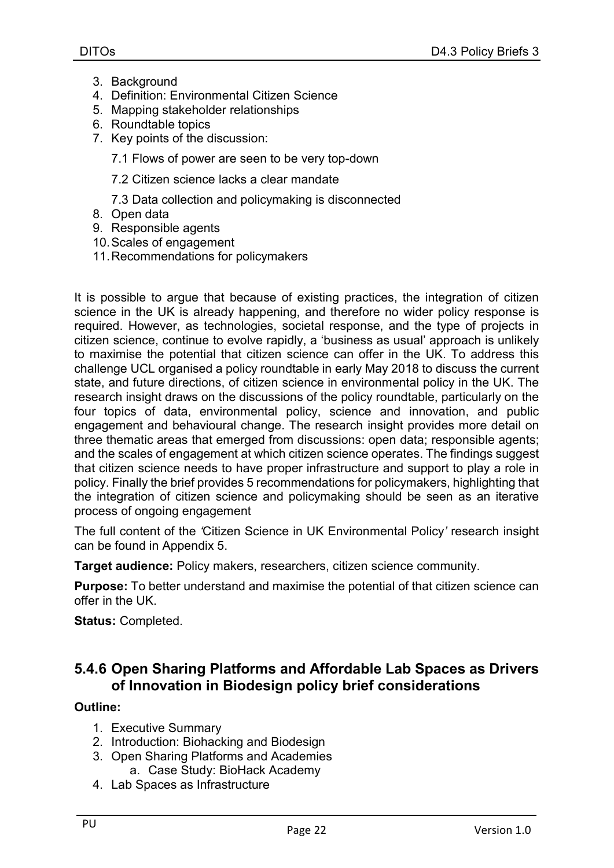- 3. Background
- 4. Definition: Environmental Citizen Science
- 5. Mapping stakeholder relationships
- 6. Roundtable topics
- 7. Key points of the discussion:

7.1 Flows of power are seen to be very top-down

7.2 Citizen science lacks a clear mandate

7.3 Data collection and policymaking is disconnected

- 8. Open data
- 9. Responsible agents
- 10. Scales of engagement
- 11. Recommendations for policymakers

It is possible to argue that because of existing practices, the integration of citizen science in the UK is already happening, and therefore no wider policy response is required. However, as technologies, societal response, and the type of projects in citizen science, continue to evolve rapidly, a 'business as usual' approach is unlikely to maximise the potential that citizen science can offer in the UK. To address this challenge UCL organised a policy roundtable in early May 2018 to discuss the current state, and future directions, of citizen science in environmental policy in the UK. The research insight draws on the discussions of the policy roundtable, particularly on the four topics of data, environmental policy, science and innovation, and public engagement and behavioural change. The research insight provides more detail on three thematic areas that emerged from discussions: open data; responsible agents; and the scales of engagement at which citizen science operates. The findings suggest that citizen science needs to have proper infrastructure and support to play a role in policy. Finally the brief provides 5 recommendations for policymakers, highlighting that the integration of citizen science and policymaking should be seen as an iterative process of ongoing engagement

The full content of the 'Citizen Science in UK Environmental Policy' research insight can be found in Appendix 5.

Target audience: Policy makers, researchers, citizen science community.

Purpose: To better understand and maximise the potential of that citizen science can offer in the UK.

Status: Completed.

## 5.4.6 Open Sharing Platforms and Affordable Lab Spaces as Drivers of Innovation in Biodesign policy brief considerations

#### Outline:

- 1. Executive Summary
- 2. Introduction: Biohacking and Biodesign
- 3. Open Sharing Platforms and Academies a. Case Study: BioHack Academy
- 4. Lab Spaces as Infrastructure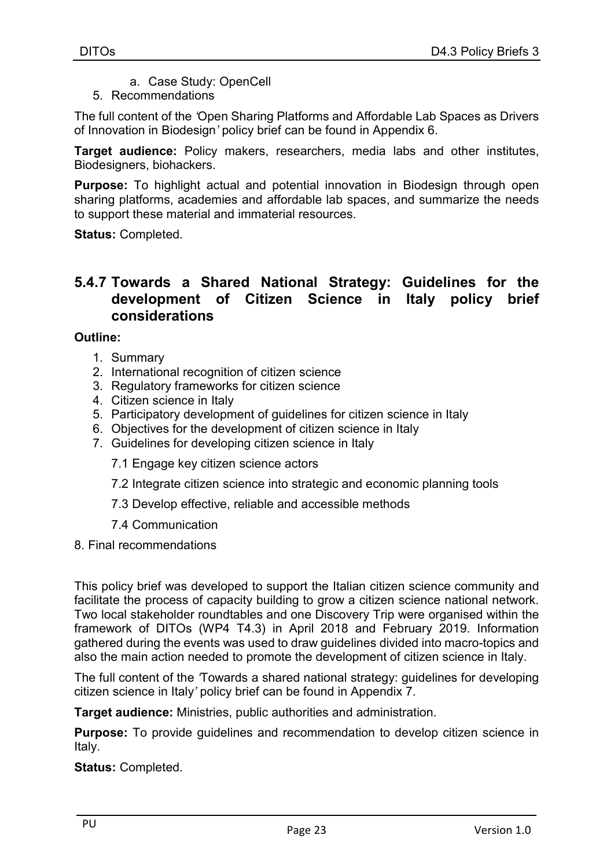- a. Case Study: OpenCell
- 5. Recommendations

The full content of the 'Open Sharing Platforms and Affordable Lab Spaces as Drivers of Innovation in Biodesign' policy brief can be found in Appendix 6.

Target audience: Policy makers, researchers, media labs and other institutes, Biodesigners, biohackers.

Purpose: To highlight actual and potential innovation in Biodesign through open sharing platforms, academies and affordable lab spaces, and summarize the needs to support these material and immaterial resources.

Status: Completed.

### 5.4.7 Towards a Shared National Strategy: Guidelines for the development of Citizen Science in Italy policy brief considerations

#### Outline:

- 1. Summary
- 2. International recognition of citizen science
- 3. Regulatory frameworks for citizen science
- 4. Citizen science in Italy
- 5. Participatory development of guidelines for citizen science in Italy
- 6. Objectives for the development of citizen science in Italy
- 7. Guidelines for developing citizen science in Italy

7.1 Engage key citizen science actors

- 7.2 Integrate citizen science into strategic and economic planning tools
- 7.3 Develop effective, reliable and accessible methods
- 7.4 Communication
- 8. Final recommendations

This policy brief was developed to support the Italian citizen science community and facilitate the process of capacity building to grow a citizen science national network. Two local stakeholder roundtables and one Discovery Trip were organised within the framework of DITOs (WP4 T4.3) in April 2018 and February 2019. Information gathered during the events was used to draw guidelines divided into macro-topics and also the main action needed to promote the development of citizen science in Italy.

The full content of the 'Towards a shared national strategy: guidelines for developing citizen science in Italy' policy brief can be found in Appendix 7.

Target audience: Ministries, public authorities and administration.

**Purpose:** To provide guidelines and recommendation to develop citizen science in Italy.

Status: Completed.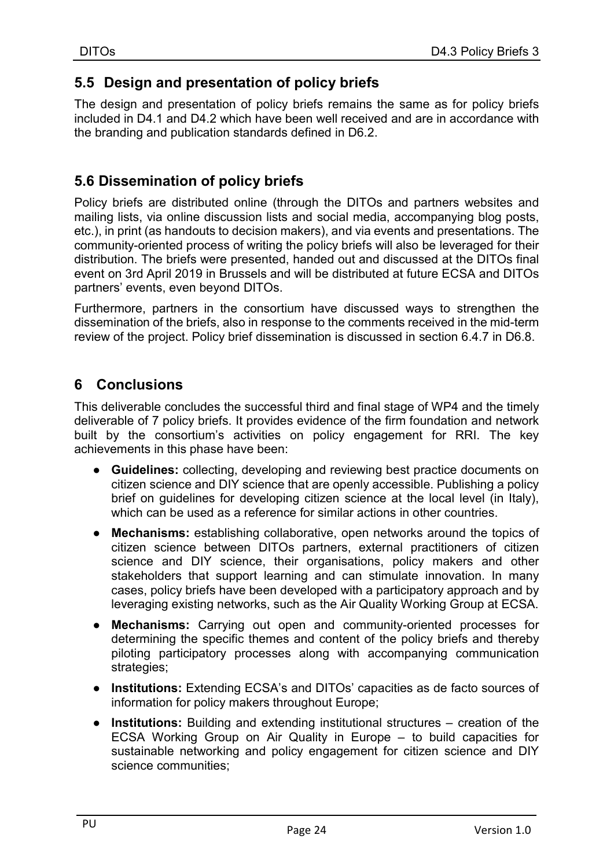## 5.5 Design and presentation of policy briefs

The design and presentation of policy briefs remains the same as for policy briefs included in D4.1 and D4.2 which have been well received and are in accordance with the branding and publication standards defined in D6.2.

## 5.6 Dissemination of policy briefs

Policy briefs are distributed online (through the DITOs and partners websites and mailing lists, via online discussion lists and social media, accompanying blog posts, etc.), in print (as handouts to decision makers), and via events and presentations. The community-oriented process of writing the policy briefs will also be leveraged for their distribution. The briefs were presented, handed out and discussed at the DITOs final event on 3rd April 2019 in Brussels and will be distributed at future ECSA and DITOs partners' events, even beyond DITOs.

Furthermore, partners in the consortium have discussed ways to strengthen the dissemination of the briefs, also in response to the comments received in the mid-term review of the project. Policy brief dissemination is discussed in section 6.4.7 in D6.8.

## 6 Conclusions

This deliverable concludes the successful third and final stage of WP4 and the timely deliverable of 7 policy briefs. It provides evidence of the firm foundation and network built by the consortium's activities on policy engagement for RRI. The key achievements in this phase have been:

- Guidelines: collecting, developing and reviewing best practice documents on citizen science and DIY science that are openly accessible. Publishing a policy brief on guidelines for developing citizen science at the local level (in Italy), which can be used as a reference for similar actions in other countries.
- Mechanisms: establishing collaborative, open networks around the topics of citizen science between DITOs partners, external practitioners of citizen science and DIY science, their organisations, policy makers and other stakeholders that support learning and can stimulate innovation. In many cases, policy briefs have been developed with a participatory approach and by leveraging existing networks, such as the Air Quality Working Group at ECSA.
- Mechanisms: Carrying out open and community-oriented processes for determining the specific themes and content of the policy briefs and thereby piloting participatory processes along with accompanying communication strategies;
- Institutions: Extending ECSA's and DITOs' capacities as de facto sources of information for policy makers throughout Europe;
- Institutions: Building and extending institutional structures creation of the ECSA Working Group on Air Quality in Europe – to build capacities for sustainable networking and policy engagement for citizen science and DIY science communities;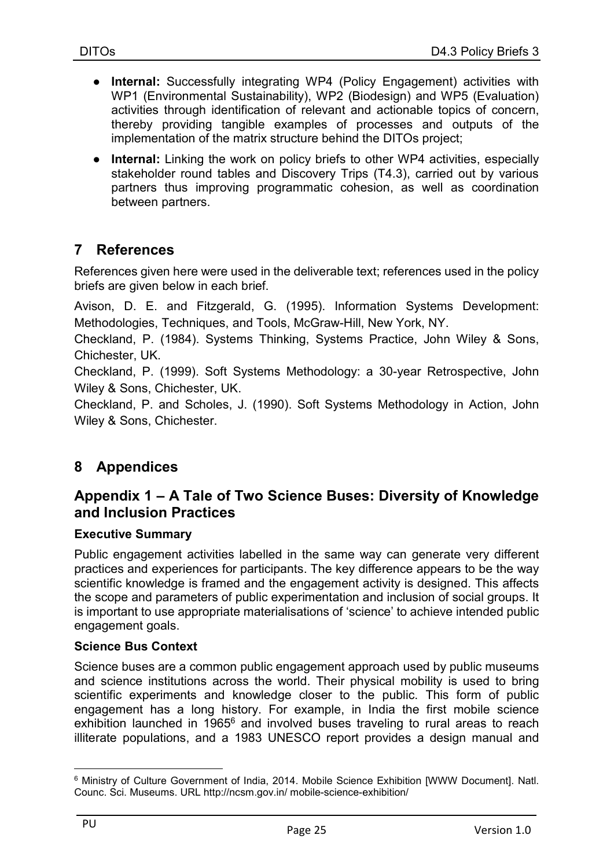- Internal: Successfully integrating WP4 (Policy Engagement) activities with WP1 (Environmental Sustainability), WP2 (Biodesign) and WP5 (Evaluation) activities through identification of relevant and actionable topics of concern, thereby providing tangible examples of processes and outputs of the implementation of the matrix structure behind the DITOs project;
- Internal: Linking the work on policy briefs to other WP4 activities, especially stakeholder round tables and Discovery Trips (T4.3), carried out by various partners thus improving programmatic cohesion, as well as coordination between partners.

## 7 References

References given here were used in the deliverable text; references used in the policy briefs are given below in each brief.

Avison, D. E. and Fitzgerald, G. (1995). Information Systems Development: Methodologies, Techniques, and Tools, McGraw-Hill, New York, NY.

Checkland, P. (1984). Systems Thinking, Systems Practice, John Wiley & Sons, Chichester, UK.

Checkland, P. (1999). Soft Systems Methodology: a 30-year Retrospective, John Wiley & Sons, Chichester, UK.

Checkland, P. and Scholes, J. (1990). Soft Systems Methodology in Action, John Wiley & Sons, Chichester.

## 8 Appendices

## Appendix 1 – A Tale of Two Science Buses: Diversity of Knowledge and Inclusion Practices

#### Executive Summary

Public engagement activities labelled in the same way can generate very different practices and experiences for participants. The key difference appears to be the way scientific knowledge is framed and the engagement activity is designed. This affects the scope and parameters of public experimentation and inclusion of social groups. It is important to use appropriate materialisations of 'science' to achieve intended public engagement goals.

#### Science Bus Context

Science buses are a common public engagement approach used by public museums and science institutions across the world. Their physical mobility is used to bring scientific experiments and knowledge closer to the public. This form of public engagement has a long history. For example, in India the first mobile science exhibition launched in 1965<sup>6</sup> and involved buses traveling to rural areas to reach illiterate populations, and a 1983 UNESCO report provides a design manual and

 $\overline{a}$ 6 Ministry of Culture Government of India, 2014. Mobile Science Exhibition [WWW Document]. Natl. Counc. Sci. Museums. URL http://ncsm.gov.in/ mobile-science-exhibition/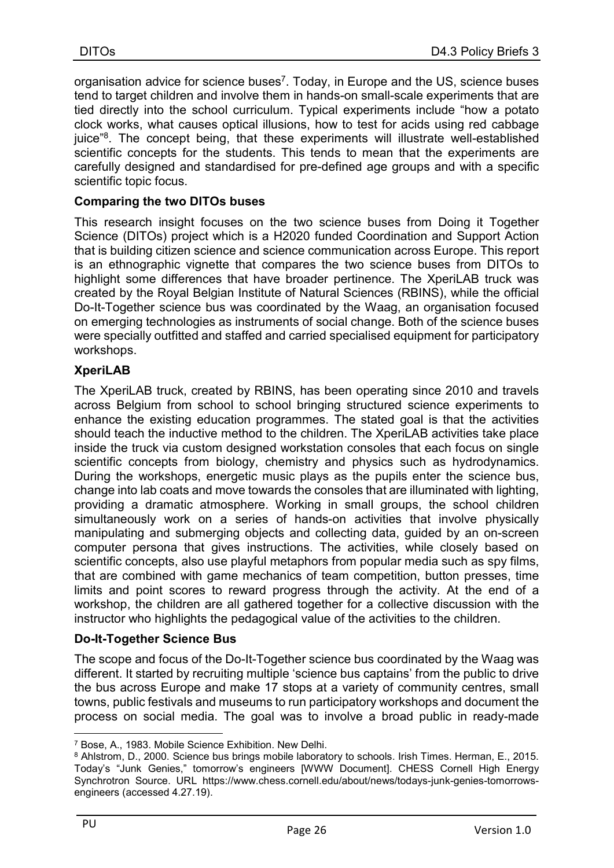organisation advice for science buses<sup>7</sup>. Today, in Europe and the US, science buses tend to target children and involve them in hands-on small-scale experiments that are tied directly into the school curriculum. Typical experiments include "how a potato clock works, what causes optical illusions, how to test for acids using red cabbage juice"<sup>8</sup>. The concept being, that these experiments will illustrate well-established scientific concepts for the students. This tends to mean that the experiments are carefully designed and standardised for pre-defined age groups and with a specific scientific topic focus.

#### Comparing the two DITOs buses

This research insight focuses on the two science buses from Doing it Together Science (DITOs) project which is a H2020 funded Coordination and Support Action that is building citizen science and science communication across Europe. This report is an ethnographic vignette that compares the two science buses from DITOs to highlight some differences that have broader pertinence. The XperiLAB truck was created by the Royal Belgian Institute of Natural Sciences (RBINS), while the official Do-It-Together science bus was coordinated by the Waag, an organisation focused on emerging technologies as instruments of social change. Both of the science buses were specially outfitted and staffed and carried specialised equipment for participatory workshops.

#### XperiLAB

The XperiLAB truck, created by RBINS, has been operating since 2010 and travels across Belgium from school to school bringing structured science experiments to enhance the existing education programmes. The stated goal is that the activities should teach the inductive method to the children. The XperiLAB activities take place inside the truck via custom designed workstation consoles that each focus on single scientific concepts from biology, chemistry and physics such as hydrodynamics. During the workshops, energetic music plays as the pupils enter the science bus, change into lab coats and move towards the consoles that are illuminated with lighting, providing a dramatic atmosphere. Working in small groups, the school children simultaneously work on a series of hands-on activities that involve physically manipulating and submerging objects and collecting data, guided by an on-screen computer persona that gives instructions. The activities, while closely based on scientific concepts, also use playful metaphors from popular media such as spy films, that are combined with game mechanics of team competition, button presses, time limits and point scores to reward progress through the activity. At the end of a workshop, the children are all gathered together for a collective discussion with the instructor who highlights the pedagogical value of the activities to the children.

#### Do-It-Together Science Bus

The scope and focus of the Do-It-Together science bus coordinated by the Waag was different. It started by recruiting multiple 'science bus captains' from the public to drive the bus across Europe and make 17 stops at a variety of community centres, small towns, public festivals and museums to run participatory workshops and document the process on social media. The goal was to involve a broad public in ready-made

<sup>7</sup> Bose, A., 1983. Mobile Science Exhibition. New Delhi.

<sup>8</sup> Ahlstrom, D., 2000. Science bus brings mobile laboratory to schools. Irish Times. Herman, E., 2015. Today's "Junk Genies," tomorrow's engineers [WWW Document]. CHESS Cornell High Energy Synchrotron Source. URL https://www.chess.cornell.edu/about/news/todays-junk-genies-tomorrowsengineers (accessed 4.27.19).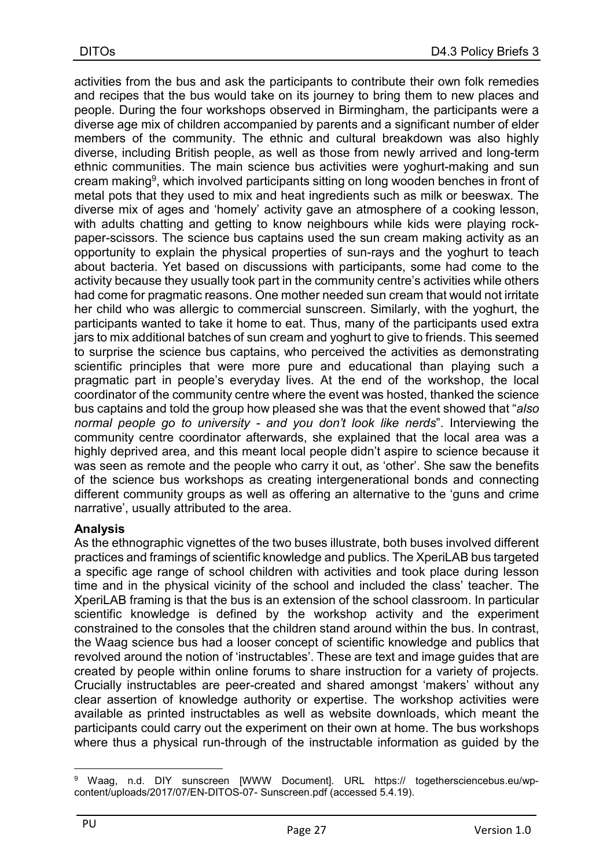activities from the bus and ask the participants to contribute their own folk remedies and recipes that the bus would take on its journey to bring them to new places and people. During the four workshops observed in Birmingham, the participants were a diverse age mix of children accompanied by parents and a significant number of elder members of the community. The ethnic and cultural breakdown was also highly diverse, including British people, as well as those from newly arrived and long-term ethnic communities. The main science bus activities were yoghurt-making and sun cream making<sup>9</sup>, which involved participants sitting on long wooden benches in front of metal pots that they used to mix and heat ingredients such as milk or beeswax. The diverse mix of ages and 'homely' activity gave an atmosphere of a cooking lesson, with adults chatting and getting to know neighbours while kids were playing rockpaper-scissors. The science bus captains used the sun cream making activity as an opportunity to explain the physical properties of sun-rays and the yoghurt to teach about bacteria. Yet based on discussions with participants, some had come to the activity because they usually took part in the community centre's activities while others had come for pragmatic reasons. One mother needed sun cream that would not irritate her child who was allergic to commercial sunscreen. Similarly, with the yoghurt, the participants wanted to take it home to eat. Thus, many of the participants used extra jars to mix additional batches of sun cream and yoghurt to give to friends. This seemed to surprise the science bus captains, who perceived the activities as demonstrating scientific principles that were more pure and educational than playing such a pragmatic part in people's everyday lives. At the end of the workshop, the local coordinator of the community centre where the event was hosted, thanked the science bus captains and told the group how pleased she was that the event showed that "also" normal people go to university - and you don't look like nerds". Interviewing the community centre coordinator afterwards, she explained that the local area was a highly deprived area, and this meant local people didn't aspire to science because it was seen as remote and the people who carry it out, as 'other'. She saw the benefits of the science bus workshops as creating intergenerational bonds and connecting different community groups as well as offering an alternative to the 'guns and crime narrative', usually attributed to the area.

#### Analysis

As the ethnographic vignettes of the two buses illustrate, both buses involved different practices and framings of scientific knowledge and publics. The XperiLAB bus targeted a specific age range of school children with activities and took place during lesson time and in the physical vicinity of the school and included the class' teacher. The XperiLAB framing is that the bus is an extension of the school classroom. In particular scientific knowledge is defined by the workshop activity and the experiment constrained to the consoles that the children stand around within the bus. In contrast, the Waag science bus had a looser concept of scientific knowledge and publics that revolved around the notion of 'instructables'. These are text and image guides that are created by people within online forums to share instruction for a variety of projects. Crucially instructables are peer-created and shared amongst 'makers' without any clear assertion of knowledge authority or expertise. The workshop activities were available as printed instructables as well as website downloads, which meant the participants could carry out the experiment on their own at home. The bus workshops where thus a physical run-through of the instructable information as guided by the

 $\overline{a}$ <sup>9</sup> Waag, n.d. DIY sunscreen [WWW Document]. URL https:// togethersciencebus.eu/wpcontent/uploads/2017/07/EN-DITOS-07- Sunscreen.pdf (accessed 5.4.19).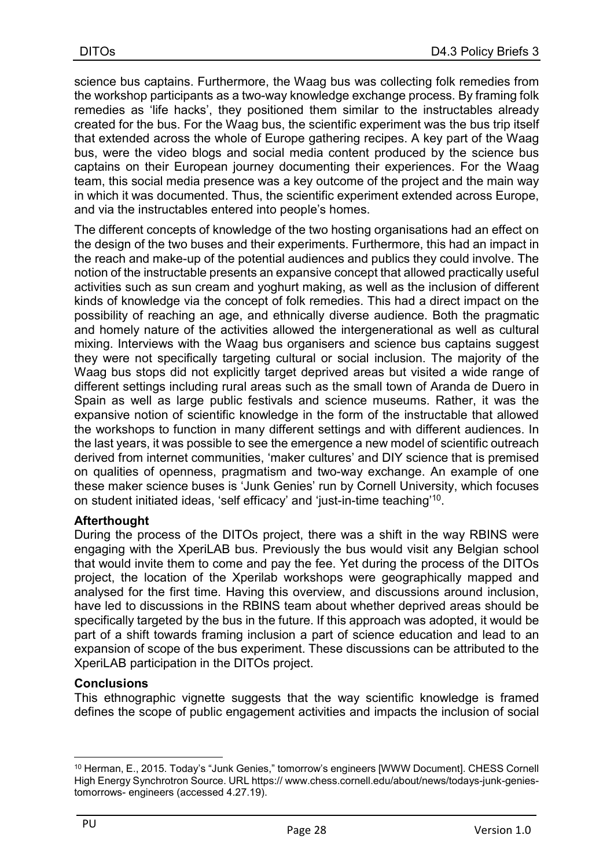science bus captains. Furthermore, the Waag bus was collecting folk remedies from the workshop participants as a two-way knowledge exchange process. By framing folk remedies as 'life hacks', they positioned them similar to the instructables already created for the bus. For the Waag bus, the scientific experiment was the bus trip itself that extended across the whole of Europe gathering recipes. A key part of the Waag bus, were the video blogs and social media content produced by the science bus captains on their European journey documenting their experiences. For the Waag team, this social media presence was a key outcome of the project and the main way in which it was documented. Thus, the scientific experiment extended across Europe, and via the instructables entered into people's homes.

The different concepts of knowledge of the two hosting organisations had an effect on the design of the two buses and their experiments. Furthermore, this had an impact in the reach and make-up of the potential audiences and publics they could involve. The notion of the instructable presents an expansive concept that allowed practically useful activities such as sun cream and yoghurt making, as well as the inclusion of different kinds of knowledge via the concept of folk remedies. This had a direct impact on the possibility of reaching an age, and ethnically diverse audience. Both the pragmatic and homely nature of the activities allowed the intergenerational as well as cultural mixing. Interviews with the Waag bus organisers and science bus captains suggest they were not specifically targeting cultural or social inclusion. The majority of the Waag bus stops did not explicitly target deprived areas but visited a wide range of different settings including rural areas such as the small town of Aranda de Duero in Spain as well as large public festivals and science museums. Rather, it was the expansive notion of scientific knowledge in the form of the instructable that allowed the workshops to function in many different settings and with different audiences. In the last years, it was possible to see the emergence a new model of scientific outreach derived from internet communities, 'maker cultures' and DIY science that is premised on qualities of openness, pragmatism and two-way exchange. An example of one these maker science buses is 'Junk Genies' run by Cornell University, which focuses on student initiated ideas, 'self efficacy' and 'just-in-time teaching'<sup>10</sup>.

#### **Afterthought**

During the process of the DITOs project, there was a shift in the way RBINS were engaging with the XperiLAB bus. Previously the bus would visit any Belgian school that would invite them to come and pay the fee. Yet during the process of the DITOs project, the location of the Xperilab workshops were geographically mapped and analysed for the first time. Having this overview, and discussions around inclusion, have led to discussions in the RBINS team about whether deprived areas should be specifically targeted by the bus in the future. If this approach was adopted, it would be part of a shift towards framing inclusion a part of science education and lead to an expansion of scope of the bus experiment. These discussions can be attributed to the XperiLAB participation in the DITOs project.

#### **Conclusions**

This ethnographic vignette suggests that the way scientific knowledge is framed defines the scope of public engagement activities and impacts the inclusion of social

 $\overline{a}$ <sup>10</sup> Herman, E., 2015. Today's "Junk Genies," tomorrow's engineers [WWW Document]. CHESS Cornell High Energy Synchrotron Source. URL https:// www.chess.cornell.edu/about/news/todays-junk-geniestomorrows- engineers (accessed 4.27.19).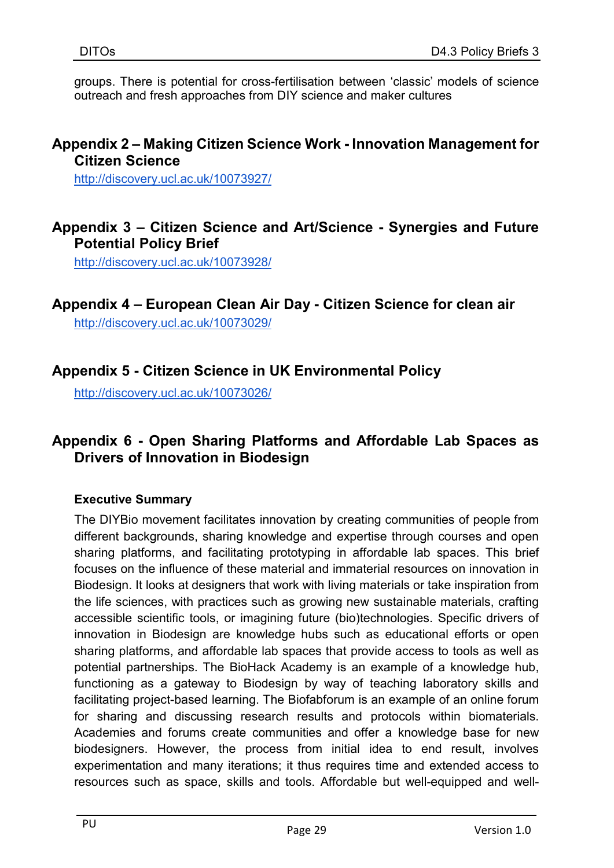groups. There is potential for cross-fertilisation between 'classic' models of science outreach and fresh approaches from DIY science and maker cultures

### Appendix 2 – Making Citizen Science Work - Innovation Management for Citizen Science

http://discovery.ucl.ac.uk/10073927/

## Appendix 3 – Citizen Science and Art/Science - Synergies and Future Potential Policy Brief

http://discovery.ucl.ac.uk/10073928/

## Appendix 4 – European Clean Air Day - Citizen Science for clean air

http://discovery.ucl.ac.uk/10073029/

## Appendix 5 - Citizen Science in UK Environmental Policy

http://discovery.ucl.ac.uk/10073026/

## Appendix 6 - Open Sharing Platforms and Affordable Lab Spaces as Drivers of Innovation in Biodesign

#### Executive Summary

The DIYBio movement facilitates innovation by creating communities of people from different backgrounds, sharing knowledge and expertise through courses and open sharing platforms, and facilitating prototyping in affordable lab spaces. This brief focuses on the influence of these material and immaterial resources on innovation in Biodesign. It looks at designers that work with living materials or take inspiration from the life sciences, with practices such as growing new sustainable materials, crafting accessible scientific tools, or imagining future (bio)technologies. Specific drivers of innovation in Biodesign are knowledge hubs such as educational efforts or open sharing platforms, and affordable lab spaces that provide access to tools as well as potential partnerships. The BioHack Academy is an example of a knowledge hub, functioning as a gateway to Biodesign by way of teaching laboratory skills and facilitating project-based learning. The Biofabforum is an example of an online forum for sharing and discussing research results and protocols within biomaterials. Academies and forums create communities and offer a knowledge base for new biodesigners. However, the process from initial idea to end result, involves experimentation and many iterations; it thus requires time and extended access to resources such as space, skills and tools. Affordable but well-equipped and well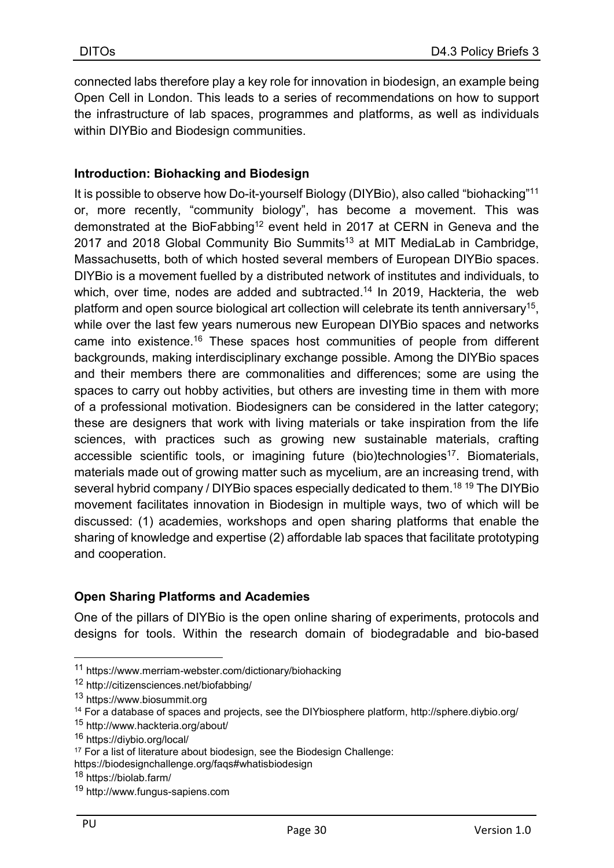connected labs therefore play a key role for innovation in biodesign, an example being Open Cell in London. This leads to a series of recommendations on how to support the infrastructure of lab spaces, programmes and platforms, as well as individuals within DIYBio and Biodesign communities.

#### Introduction: Biohacking and Biodesign

It is possible to observe how Do-it-yourself Biology (DIYBio), also called "biohacking"<sup>11</sup> or, more recently, "community biology", has become a movement. This was demonstrated at the BioFabbing<sup>12</sup> event held in 2017 at CERN in Geneva and the 2017 and 2018 Global Community Bio Summits<sup>13</sup> at MIT MediaLab in Cambridge, Massachusetts, both of which hosted several members of European DIYBio spaces. DIYBio is a movement fuelled by a distributed network of institutes and individuals, to which, over time, nodes are added and subtracted.<sup>14</sup> In 2019, Hackteria, the web platform and open source biological art collection will celebrate its tenth anniversary<sup>15</sup>, while over the last few years numerous new European DIYBio spaces and networks came into existence.<sup>16</sup> These spaces host communities of people from different backgrounds, making interdisciplinary exchange possible. Among the DIYBio spaces and their members there are commonalities and differences; some are using the spaces to carry out hobby activities, but others are investing time in them with more of a professional motivation. Biodesigners can be considered in the latter category; these are designers that work with living materials or take inspiration from the life sciences, with practices such as growing new sustainable materials, crafting accessible scientific tools, or imagining future (bio)technologies<sup>17</sup>. Biomaterials, materials made out of growing matter such as mycelium, are an increasing trend, with several hybrid company / DIYBio spaces especially dedicated to them.<sup>18 19</sup> The DIYBio movement facilitates innovation in Biodesign in multiple ways, two of which will be discussed: (1) academies, workshops and open sharing platforms that enable the sharing of knowledge and expertise (2) affordable lab spaces that facilitate prototyping and cooperation.

#### Open Sharing Platforms and Academies

One of the pillars of DIYBio is the open online sharing of experiments, protocols and designs for tools. Within the research domain of biodegradable and bio-based

https://biodesignchallenge.org/faqs#whatisbiodesign

<sup>11</sup> https://www.merriam-webster.com/dictionary/biohacking

<sup>12</sup> http://citizensciences.net/biofabbing/

<sup>13</sup> https://www.biosummit.org

<sup>14</sup> For a database of spaces and projects, see the DIYbiosphere platform, http://sphere.diybio.org/

<sup>15</sup> http://www.hackteria.org/about/

<sup>16</sup> https://diybio.org/local/

<sup>&</sup>lt;sup>17</sup> For a list of literature about biodesign, see the Biodesign Challenge:

<sup>18</sup> https://biolab.farm/

<sup>19</sup> http://www.fungus-sapiens.com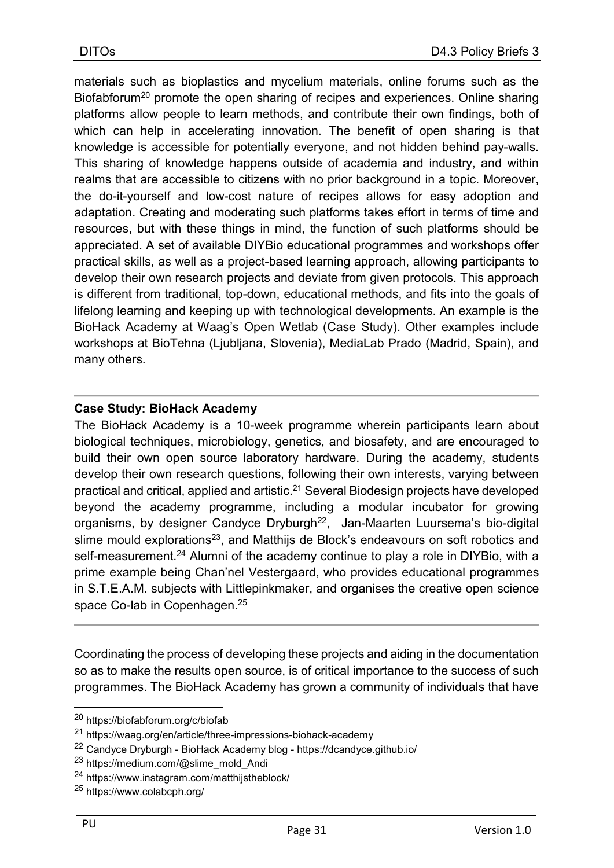materials such as bioplastics and mycelium materials, online forums such as the Biofabforum<sup>20</sup> promote the open sharing of recipes and experiences. Online sharing platforms allow people to learn methods, and contribute their own findings, both of which can help in accelerating innovation. The benefit of open sharing is that knowledge is accessible for potentially everyone, and not hidden behind pay-walls. This sharing of knowledge happens outside of academia and industry, and within realms that are accessible to citizens with no prior background in a topic. Moreover, the do-it-yourself and low-cost nature of recipes allows for easy adoption and adaptation. Creating and moderating such platforms takes effort in terms of time and resources, but with these things in mind, the function of such platforms should be appreciated. A set of available DIYBio educational programmes and workshops offer practical skills, as well as a project-based learning approach, allowing participants to develop their own research projects and deviate from given protocols. This approach is different from traditional, top-down, educational methods, and fits into the goals of lifelong learning and keeping up with technological developments. An example is the BioHack Academy at Waag's Open Wetlab (Case Study). Other examples include workshops at BioTehna (Ljubljana, Slovenia), MediaLab Prado (Madrid, Spain), and many others.

#### Case Study: BioHack Academy

The BioHack Academy is a 10-week programme wherein participants learn about biological techniques, microbiology, genetics, and biosafety, and are encouraged to build their own open source laboratory hardware. During the academy, students develop their own research questions, following their own interests, varying between practical and critical, applied and artistic.<sup>21</sup> Several Biodesign projects have developed beyond the academy programme, including a modular incubator for growing organisms, by designer Candyce Dryburgh<sup>22</sup>, Jan-Maarten Luursema's bio-digital slime mould explorations<sup>23</sup>, and Matthijs de Block's endeavours on soft robotics and self-measurement.<sup>24</sup> Alumni of the academy continue to play a role in DIYBio, with a prime example being Chan'nel Vestergaard, who provides educational programmes in S.T.E.A.M. subjects with Littlepinkmaker, and organises the creative open science space Co-lab in Copenhagen.<sup>25</sup>

Coordinating the process of developing these projects and aiding in the documentation so as to make the results open source, is of critical importance to the success of such programmes. The BioHack Academy has grown a community of individuals that have

<sup>20</sup> https://biofabforum.org/c/biofab

<sup>21</sup> https://waag.org/en/article/three-impressions-biohack-academy

<sup>22</sup> Candyce Dryburgh - BioHack Academy blog - https://dcandyce.github.io/

<sup>23</sup> https://medium.com/@slime\_mold\_Andi

<sup>24</sup> https://www.instagram.com/matthijstheblock/

<sup>25</sup> https://www.colabcph.org/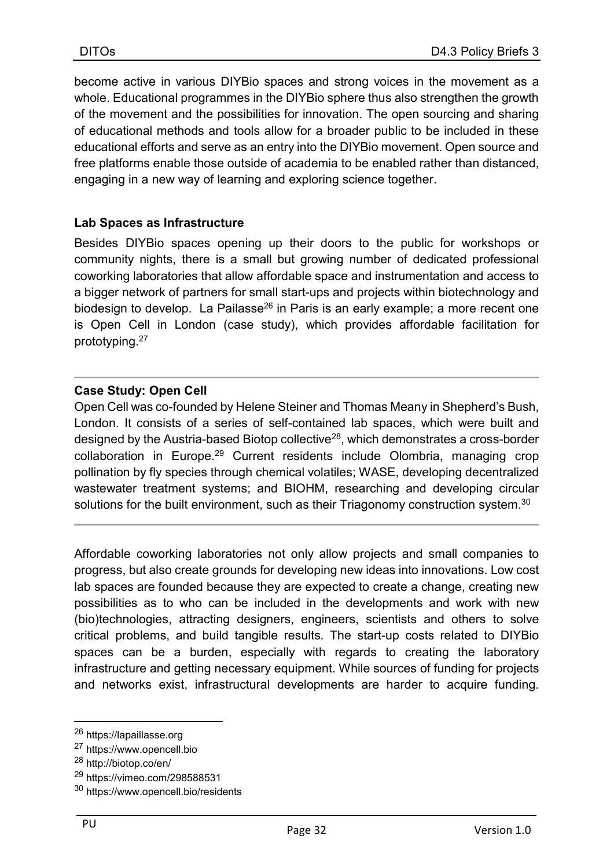become active in various DIYBio spaces and strong voices in the movement as a whole. Educational programmes in the DIYBio sphere thus also strengthen the growth of the movement and the possibilities for innovation. The open sourcing and sharing of educational methods and tools allow for a broader public to be included in these educational efforts and serve as an entry into the DIYBio movement. Open source and free platforms enable those outside of academia to be enabled rather than distanced, engaging in a new way of learning and exploring science together.

#### Lab Spaces as Infrastructure

Besides DIYBio spaces opening up their doors to the public for workshops or community nights, there is a small but growing number of dedicated professional coworking laboratories that allow affordable space and instrumentation and access to a bigger network of partners for small start-ups and projects within biotechnology and biodesign to develop. La Pailasse<sup>26</sup> in Paris is an early example; a more recent one is Open Cell in London (case study), which provides affordable facilitation for prototyping.<sup>27</sup>

#### Case Study: Open Cell

Open Cell was co-founded by Helene Steiner and Thomas Meany in Shepherd's Bush, London. It consists of a series of self-contained lab spaces, which were built and designed by the Austria-based Biotop collective<sup>28</sup>, which demonstrates a cross-border collaboration in Europe.<sup>29</sup> Current residents include Olombria, managing crop pollination by fly species through chemical volatiles; WASE, developing decentralized wastewater treatment systems; and BIOHM, researching and developing circular solutions for the built environment, such as their Triagonomy construction system.<sup>30</sup>

Affordable coworking laboratories not only allow projects and small companies to progress, but also create grounds for developing new ideas into innovations. Low cost lab spaces are founded because they are expected to create a change, creating new possibilities as to who can be included in the developments and work with new (bio)technologies, attracting designers, engineers, scientists and others to solve critical problems, and build tangible results. The start-up costs related to DIYBio spaces can be a burden, especially with regards to creating the laboratory infrastructure and getting necessary equipment. While sources of funding for projects and networks exist, infrastructural developments are harder to acquire funding.

<sup>26</sup> https://lapaillasse.org

<sup>27</sup> https://www.opencell.bio

<sup>28</sup> http://biotop.co/en/

<sup>29</sup> https://vimeo.com/298588531

<sup>30</sup> https://www.opencell.bio/residents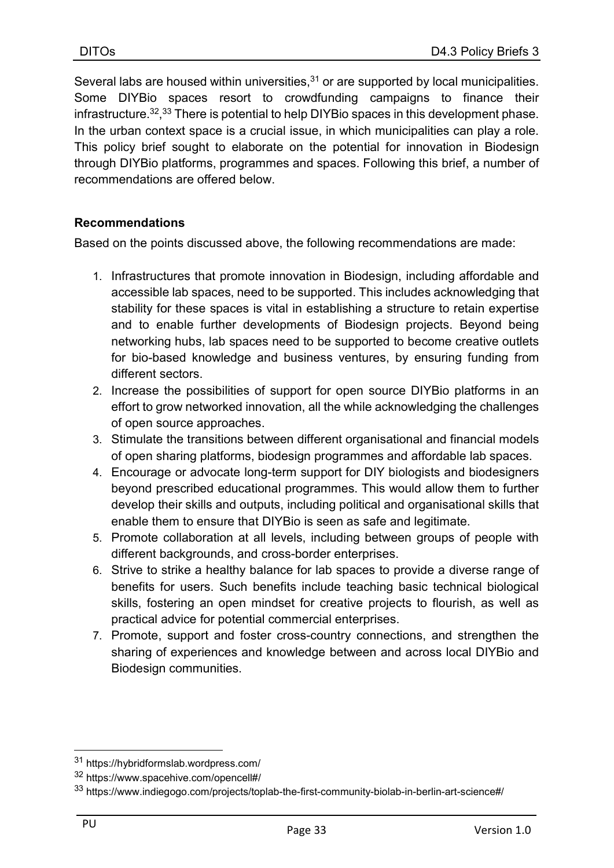Several labs are housed within universities, $31$  or are supported by local municipalities. Some DIYBio spaces resort to crowdfunding campaigns to finance their infrastructure.<sup>32</sup>,<sup>33</sup> There is potential to help DIYBio spaces in this development phase. In the urban context space is a crucial issue, in which municipalities can play a role. This policy brief sought to elaborate on the potential for innovation in Biodesign through DIYBio platforms, programmes and spaces. Following this brief, a number of recommendations are offered below.

#### Recommendations

Based on the points discussed above, the following recommendations are made:

- 1. Infrastructures that promote innovation in Biodesign, including affordable and accessible lab spaces, need to be supported. This includes acknowledging that stability for these spaces is vital in establishing a structure to retain expertise and to enable further developments of Biodesign projects. Beyond being networking hubs, lab spaces need to be supported to become creative outlets for bio-based knowledge and business ventures, by ensuring funding from different sectors.
- 2. Increase the possibilities of support for open source DIYBio platforms in an effort to grow networked innovation, all the while acknowledging the challenges of open source approaches.
- 3. Stimulate the transitions between different organisational and financial models of open sharing platforms, biodesign programmes and affordable lab spaces.
- 4. Encourage or advocate long-term support for DIY biologists and biodesigners beyond prescribed educational programmes. This would allow them to further develop their skills and outputs, including political and organisational skills that enable them to ensure that DIYBio is seen as safe and legitimate.
- 5. Promote collaboration at all levels, including between groups of people with different backgrounds, and cross-border enterprises.
- 6. Strive to strike a healthy balance for lab spaces to provide a diverse range of benefits for users. Such benefits include teaching basic technical biological skills, fostering an open mindset for creative projects to flourish, as well as practical advice for potential commercial enterprises.
- 7. Promote, support and foster cross-country connections, and strengthen the sharing of experiences and knowledge between and across local DIYBio and Biodesign communities.

<sup>31</sup> https://hybridformslab.wordpress.com/

<sup>32</sup> https://www.spacehive.com/opencell#/

<sup>33</sup> https://www.indiegogo.com/projects/toplab-the-first-community-biolab-in-berlin-art-science#/